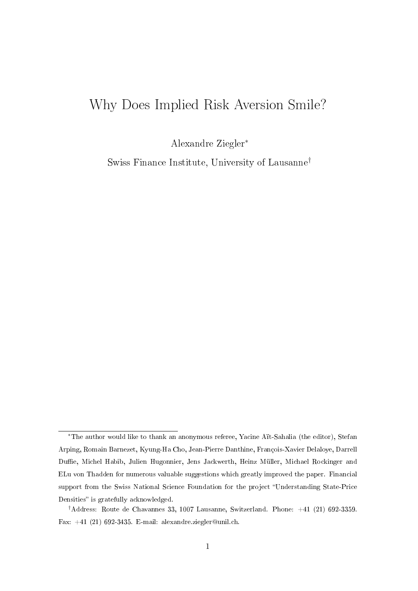# Why Does Implied Risk Aversion Smile?

Alexandre Ziegler<sup>∗</sup>

Swiss Finance Institute, University of Lausanne†

<sup>∗</sup>The author would like to thank an anonymous referee, Yacine Aït-Sahalia (the editor), Stefan Arping, Romain Barnezet, Kyung-Ha Cho, Jean-Pierre Danthine, François-Xavier Delaloye, Darrell Duffie, Michel Habib, Julien Hugonnier, Jens Jackwerth, Heinz Müller, Michael Rockinger and ELu von Thadden for numerous valuable suggestions which greatly improved the paper. Financial support from the Swiss National Science Foundation for the project "Understanding State-Price Densities" is gratefully acknowledged.

<sup>†</sup>Address: Route de Chavannes 33, 1007 Lausanne, Switzerland. Phone: +41 (21) 692-3359. Fax:  $+41$  (21) 692-3435. E-mail: alexandre.ziegler@unil.ch.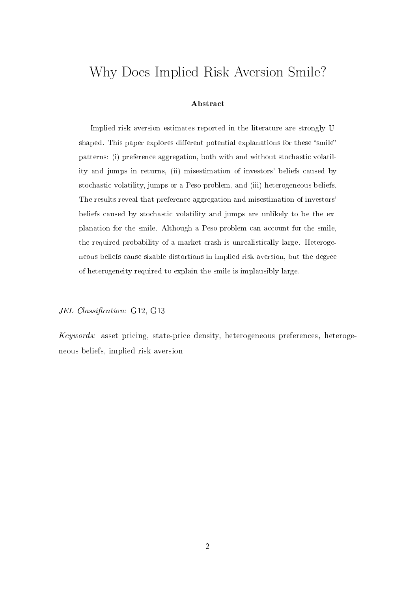# Why Does Implied Risk Aversion Smile?

#### Abstract

Implied risk aversion estimates reported in the literature are strongly Ushaped. This paper explores different potential explanations for these "smile" patterns: (i) preference aggregation, both with and without stochastic volatility and jumps in returns, (ii) misestimation of investors' beliefs caused by stochastic volatility, jumps or a Peso problem, and (iii) heterogeneous beliefs. The results reveal that preference aggregation and misestimation of investors' beliefs caused by stochastic volatility and jumps are unlikely to be the explanation for the smile. Although a Peso problem can account for the smile, the required probability of a market crash is unrealistically large. Heterogeneous beliefs cause sizable distortions in implied risk aversion, but the degree of heterogeneity required to explain the smile is implausibly large.

#### JEL Classification: G12, G13

Keywords: asset pricing, state-price density, heterogeneous preferences, heterogeneous beliefs, implied risk aversion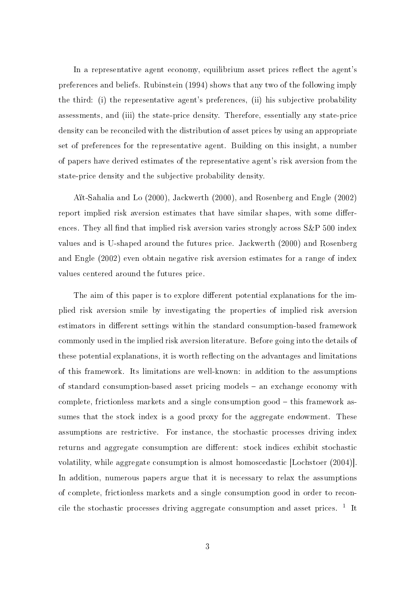In a representative agent economy, equilibrium asset prices reflect the agent's preferences and beliefs. Rubinstein (1994) shows that any two of the following imply the third: (i) the representative agent's preferences, (ii) his subjective probability assessments, and (iii) the state-price density. Therefore, essentially any state-price density can be reconciled with the distribution of asset prices by using an appropriate set of preferences for the representative agent. Building on this insight, a number of papers have derived estimates of the representative agent's risk aversion from the state-price density and the subjective probability density.

Aït-Sahalia and Lo (2000), Jackwerth (2000), and Rosenberg and Engle (2002) report implied risk aversion estimates that have similar shapes, with some differences. They all find that implied risk aversion varies strongly across  $S\&P$  500 index values and is U-shaped around the futures price. Jackwerth (2000) and Rosenberg and Engle (2002) even obtain negative risk aversion estimates for a range of index values centered around the futures price.

The aim of this paper is to explore different potential explanations for the implied risk aversion smile by investigating the properties of implied risk aversion estimators in different settings within the standard consumption-based framework commonly used in the implied risk aversion literature. Before going into the details of these potential explanations, it is worth reflecting on the advantages and limitations of this framework. Its limitations are well-known: in addition to the assumptions of standard consumption-based asset pricing models  $-$  an exchange economy with complete, frictionless markets and a single consumption good  $-$  this framework assumes that the stock index is a good proxy for the aggregate endowment. These assumptions are restrictive. For instance, the stochastic processes driving index returns and aggregate consumption are different: stock indices exhibit stochastic volatility, while aggregate consumption is almost homoscedastic [Lochstoer (2004)]. In addition, numerous papers argue that it is necessary to relax the assumptions of complete, frictionless markets and a single consumption good in order to reconcile the stochastic processes driving aggregate consumption and asset prices.  $1$  It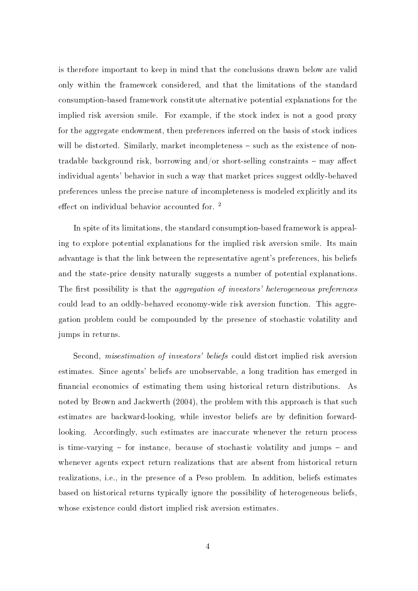is therefore important to keep in mind that the conclusions drawn below are valid only within the framework considered, and that the limitations of the standard consumption-based framework constitute alternative potential explanations for the implied risk aversion smile. For example, if the stock index is not a good proxy for the aggregate endowment, then preferences inferred on the basis of stock indices will be distorted. Similarly, market incompleteness - such as the existence of nontradable background risk, borrowing and/or short-selling constraints  $-$  may affect individual agents' behavior in such a way that market prices suggest oddly-behaved preferences unless the precise nature of incompleteness is modeled explicitly and its effect on individual behavior accounted for.  $2$ 

In spite of its limitations, the standard consumption-based framework is appealing to explore potential explanations for the implied risk aversion smile. Its main advantage is that the link between the representative agent's preferences, his beliefs and the state-price density naturally suggests a number of potential explanations. The first possibility is that the *aggregation of investors' heterogeneous preferences* could lead to an oddly-behaved economy-wide risk aversion function. This aggregation problem could be compounded by the presence of stochastic volatility and jumps in returns.

Second, misestimation of investors' beliefs could distort implied risk aversion estimates. Since agents' beliefs are unobservable, a long tradition has emerged in financial economics of estimating them using historical return distributions. As noted by Brown and Jackwerth (2004), the problem with this approach is that such estimates are backward-looking, while investor beliefs are by definition forwardlooking. Accordingly, such estimates are inaccurate whenever the return process is time-varying  $-$  for instance, because of stochastic volatility and jumps  $-$  and whenever agents expect return realizations that are absent from historical return realizations, i.e., in the presence of a Peso problem. In addition, beliefs estimates based on historical returns typically ignore the possibility of heterogeneous beliefs, whose existence could distort implied risk aversion estimates.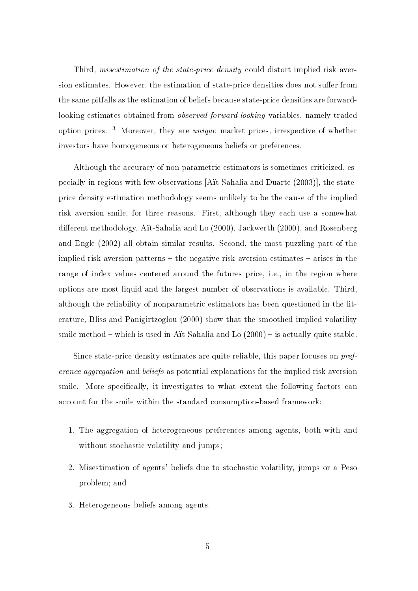Third, *misestimation of the state-price density* could distort implied risk aversion estimates. However, the estimation of state-price densities does not suffer from the same pitfalls as the estimation of beliefs because state-price densities are forwardlooking estimates obtained from observed forward-looking variables, namely traded option prices. <sup>3</sup> Moreover, they are unique market prices, irrespective of whether investors have homogeneous or heterogeneous beliefs or preferences.

Although the accuracy of non-parametric estimators is sometimes criticized, especially in regions with few observations [Aït-Sahalia and Duarte (2003)], the stateprice density estimation methodology seems unlikely to be the cause of the implied risk aversion smile, for three reasons. First, although they each use a somewhat different methodology, Aït-Sahalia and Lo (2000), Jackwerth (2000), and Rosenberg and Engle (2002) all obtain similar results. Second, the most puzzling part of the implied risk aversion patterns  $-$  the negative risk aversion estimates  $-$  arises in the range of index values centered around the futures price, i.e., in the region where options are most liquid and the largest number of observations is available. Third, although the reliability of nonparametric estimators has been questioned in the literature, Bliss and Panigirtzoglou (2000) show that the smoothed implied volatility smile method  $-$  which is used in Aït-Sahalia and Lo  $(2000)$   $-$  is actually quite stable.

Since state-price density estimates are quite reliable, this paper focuses on preference aggregation and beliefs as potential explanations for the implied risk aversion smile. More specifically, it investigates to what extent the following factors can account for the smile within the standard consumption-based framework:

- 1. The aggregation of heterogeneous preferences among agents, both with and without stochastic volatility and jumps;
- 2. Misestimation of agents' beliefs due to stochastic volatility, jumps or a Peso problem; and
- 3. Heterogeneous beliefs among agents.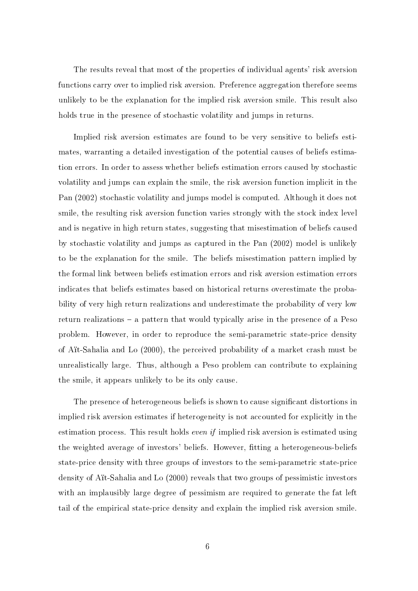The results reveal that most of the properties of individual agents' risk aversion functions carry over to implied risk aversion. Preference aggregation therefore seems unlikely to be the explanation for the implied risk aversion smile. This result also holds true in the presence of stochastic volatility and jumps in returns.

Implied risk aversion estimates are found to be very sensitive to beliefs estimates, warranting a detailed investigation of the potential causes of beliefs estimation errors. In order to assess whether beliefs estimation errors caused by stochastic volatility and jumps can explain the smile, the risk aversion function implicit in the Pan (2002) stochastic volatility and jumps model is computed. Although it does not smile, the resulting risk aversion function varies strongly with the stock index level and is negative in high return states, suggesting that misestimation of beliefs caused by stochastic volatility and jumps as captured in the Pan (2002) model is unlikely to be the explanation for the smile. The beliefs misestimation pattern implied by the formal link between beliefs estimation errors and risk aversion estimation errors indicates that beliefs estimates based on historical returns overestimate the probability of very high return realizations and underestimate the probability of very low return realizations  $-$  a pattern that would typically arise in the presence of a Peso problem. However, in order to reproduce the semi-parametric state-price density of Aït-Sahalia and Lo (2000), the perceived probability of a market crash must be unrealistically large. Thus, although a Peso problem can contribute to explaining the smile, it appears unlikely to be its only cause.

The presence of heterogeneous beliefs is shown to cause significant distortions in implied risk aversion estimates if heterogeneity is not accounted for explicitly in the estimation process. This result holds *even if* implied risk aversion is estimated using the weighted average of investors' beliefs. However, tting a heterogeneous-beliefs state-price density with three groups of investors to the semi-parametric state-price density of Aït-Sahalia and Lo (2000) reveals that two groups of pessimistic investors with an implausibly large degree of pessimism are required to generate the fat left tail of the empirical state-price density and explain the implied risk aversion smile.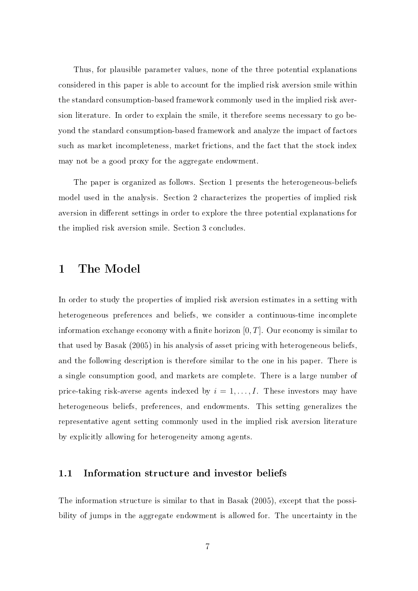Thus, for plausible parameter values, none of the three potential explanations considered in this paper is able to account for the implied risk aversion smile within the standard consumption-based framework commonly used in the implied risk aversion literature. In order to explain the smile, it therefore seems necessary to go beyond the standard consumption-based framework and analyze the impact of factors such as market incompleteness, market frictions, and the fact that the stock index may not be a good proxy for the aggregate endowment.

The paper is organized as follows. Section 1 presents the heterogeneous-beliefs model used in the analysis. Section 2 characterizes the properties of implied risk aversion in different settings in order to explore the three potential explanations for the implied risk aversion smile. Section 3 concludes.

# 1 The Model

In order to study the properties of implied risk aversion estimates in a setting with heterogeneous preferences and beliefs, we consider a continuous-time incomplete information exchange economy with a finite horizon  $[0, T]$ . Our economy is similar to that used by Basak (2005) in his analysis of asset pricing with heterogeneous beliefs, and the following description is therefore similar to the one in his paper. There is a single consumption good, and markets are complete. There is a large number of price-taking risk-averse agents indexed by  $i = 1, \ldots, I$ . These investors may have heterogeneous beliefs, preferences, and endowments. This setting generalizes the representative agent setting commonly used in the implied risk aversion literature by explicitly allowing for heterogeneity among agents.

## 1.1 Information structure and investor beliefs

The information structure is similar to that in Basak (2005), except that the possibility of jumps in the aggregate endowment is allowed for. The uncertainty in the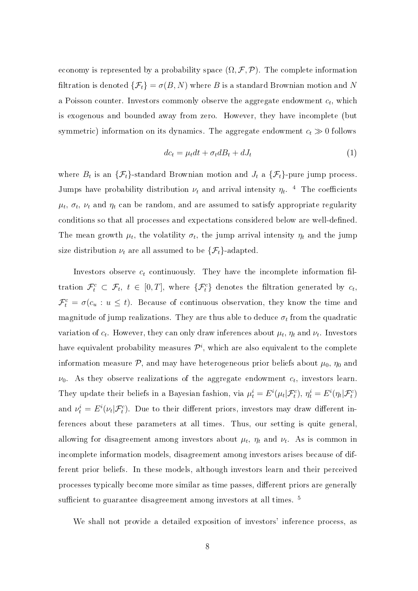economy is represented by a probability space  $(\Omega, \mathcal{F}, \mathcal{P})$ . The complete information filtration is denoted  $\{\mathcal{F}_t\} = \sigma(B, N)$  where B is a standard Brownian motion and N a Poisson counter. Investors commonly observe the aggregate endowment  $c_t$ , which is exogenous and bounded away from zero. However, they have incomplete (but symmetric) information on its dynamics. The aggregate endowment  $c_t \gg 0$  follows

$$
dc_t = \mu_t dt + \sigma_t dB_t + dJ_t \tag{1}
$$

where  $B_t$  is an  $\{\mathcal{F}_t\}$ -standard Brownian motion and  $J_t$  a  $\{\mathcal{F}_t\}$ -pure jump process. Jumps have probability distribution  $\nu_t$  and arrival intensity  $\eta_t$ . <sup>4</sup> The coefficients  $\mu_t$ ,  $\sigma_t$ ,  $\nu_t$  and  $\eta_t$  can be random, and are assumed to satisfy appropriate regularity conditions so that all processes and expectations considered below are well-defined. The mean growth  $\mu_t$ , the volatility  $\sigma_t$ , the jump arrival intensity  $\eta_t$  and the jump size distribution  $\nu_t$  are all assumed to be  $\{\mathcal{F}_t\}$ -adapted.

Investors observe  $c_t$  continuously. They have the incomplete information filtration  $\mathcal{F}_t^c \subset \mathcal{F}_t$ ,  $t \in [0,T]$ , where  $\{\mathcal{F}_t^c\}$  denotes the filtration generated by  $c_t$ ,  $\mathcal{F}^c_t = \sigma(c_u : u \leq t)$ . Because of continuous observation, they know the time and magnitude of jump realizations. They are thus able to deduce  $\sigma_t$  from the quadratic variation of  $c_t$ . However, they can only draw inferences about  $\mu_t$ ,  $\eta_t$  and  $\nu_t$ . Investors have equivalent probability measures  $\mathcal{P}^i,$  which are also equivalent to the complete information measure  $P$ , and may have heterogeneous prior beliefs about  $\mu_0$ ,  $\eta_0$  and  $\nu_0$ . As they observe realizations of the aggregate endowment  $c_t$ , investors learn. They update their beliefs in a Bayesian fashion, via  $\mu_t^i = E^i(\mu_t|\mathcal{F}_t^c), \, \eta_t^i = E^i(\eta_t|\mathcal{F}_t^c)$ and  $\nu_t^i = E^i(\nu_t|\mathcal{F}_t^c)$ . Due to their different priors, investors may draw different inferences about these parameters at all times. Thus, our setting is quite general, allowing for disagreement among investors about  $\mu_t$ ,  $\eta_t$  and  $\nu_t$ . As is common in incomplete information models, disagreement among investors arises because of different prior beliefs. In these models, although investors learn and their perceived processes typically become more similar as time passes, different priors are generally sufficient to guarantee disagreement among investors at all times.<sup>5</sup>

We shall not provide a detailed exposition of investors' inference process, as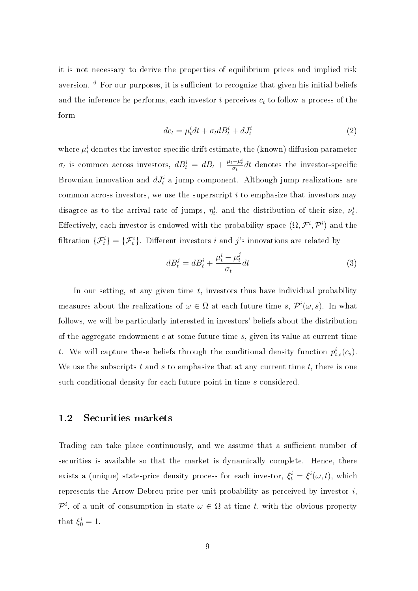it is not necessary to derive the properties of equilibrium prices and implied risk aversion.  $6$  For our purposes, it is sufficient to recognize that given his initial beliefs and the inference he performs, each investor  $i$  perceives  $c_t$  to follow a process of the form

$$
dc_t = \mu_t^i dt + \sigma_t dB_t^i + dJ_t^i \tag{2}
$$

where  $\mu_t^i$  denotes the investor-specific drift estimate, the (known) diffusion parameter  $\sigma_t$  is common across investors,  $dB_t^i = dB_t + \frac{\mu_t - \mu_t^i}{\sigma_t} dt$  denotes the investor-specific Brownian innovation and  $dJ_t^i$  a jump component. Although jump realizations are common across investors, we use the superscript  $i$  to emphasize that investors may disagree as to the arrival rate of jumps,  $\eta_t^i$ , and the distribution of their size,  $\nu_t^i$ . Effectively, each investor is endowed with the probability space  $(\Omega, \mathcal{F}^i, \mathcal{P}^i)$  and the filtration  $\{\mathcal{F}_t^i\} = \{\mathcal{F}_t^c\}$ . Different investors i and j's innovations are related by

$$
dB_t^j = dB_t^i + \frac{\mu_t^i - \mu_t^j}{\sigma_t} dt \tag{3}
$$

In our setting, at any given time  $t$ , investors thus have individual probability measures about the realizations of  $\omega \in \Omega$  at each future time s,  $\mathcal{P}^i(\omega, s)$ . In what follows, we will be particularly interested in investors' beliefs about the distribution of the aggregate endowment  $c$  at some future time  $s$ , given its value at current time t. We will capture these beliefs through the conditional density function  $p_{t,s}^i(c_s)$ . We use the subscripts  $t$  and  $s$  to emphasize that at any current time  $t$ , there is one such conditional density for each future point in time s considered.

### 1.2 Securities markets

Trading can take place continuously, and we assume that a sufficient number of securities is available so that the market is dynamically complete. Hence, there exists a (unique) state-price density process for each investor,  $\xi_t^i = \xi^i(\omega, t)$ , which represents the Arrow-Debreu price per unit probability as perceived by investor  $i$ ,  $\mathcal{P}^i$ , of a unit of consumption in state  $\omega \in \Omega$  at time t, with the obvious property that  $\xi_0^i = 1$ .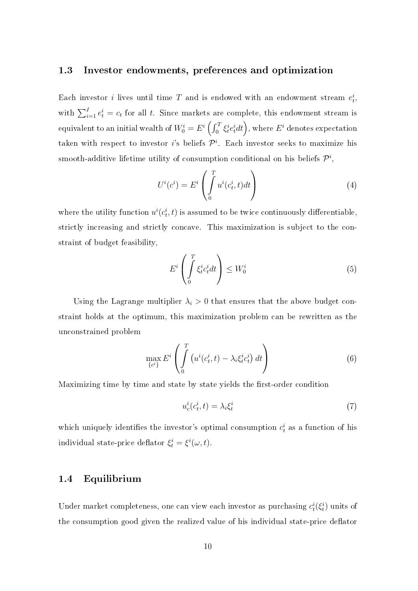### 1.3 Investor endowments, preferences and optimization

Each investor *i* lives until time T and is endowed with an endowment stream  $e_t^i$ , with  $\sum_{i=1}^{I} e_t^i = c_t$  for all t. Since markets are complete, this endowment stream is equivalent to an initial wealth of  $W_0^i = E^i \left( \int_0^T$  $\int_0^T \xi^i_t e^i_t dt \bigg), \text{ where } E^i \text{ denotes expectation} \bigg.$ taken with respect to investor *i*'s beliefs  $\mathcal{P}^i$ . Each investor seeks to maximize his smooth-additive lifetime utility of consumption conditional on his beliefs  $\mathcal{P}^i,$ 

$$
U^{i}(c^{i}) = E^{i} \left( \int_{0}^{T} u^{i}(c_{t}^{i}, t)dt \right)
$$
\n
$$
(4)
$$

where the utility function  $u^i(c_t^i, t)$  is assumed to be twice continuously differentiable, strictly increasing and strictly concave. This maximization is subject to the constraint of budget feasibility,

$$
E^i \left( \int_0^T \xi_t^i c_t^i dt \right) \le W_0^i \tag{5}
$$

Using the Lagrange multiplier  $\lambda_i > 0$  that ensures that the above budget constraint holds at the optimum, this maximization problem can be rewritten as the unconstrained problem

$$
\max_{\{c^i\}} E^i \left( \int_0^T \left( u^i(c_t^i, t) - \lambda_i \xi_t^i c_t^i \right) dt \right) \tag{6}
$$

Maximizing time by time and state by state yields the first-order condition

$$
u_c^i(c_t^i, t) = \lambda_i \xi_t^i \tag{7}
$$

which uniquely identifies the investor's optimal consumption  $c_t^i$  as a function of his individual state-price deflator  $\xi_t^i = \xi^i(\omega, t)$ .

### 1.4 Equilibrium

Under market completeness, one can view each investor as purchasing  $c_t^i(\xi_t^i)$  units of the consumption good given the realized value of his individual state-price deflator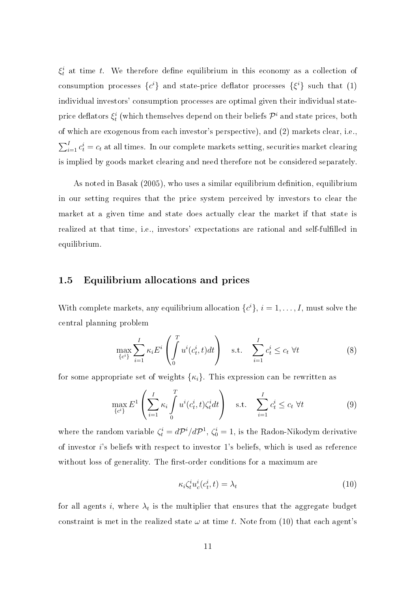$\xi_t^i$  at time t. We therefore define equilibrium in this economy as a collection of consumption processes  $\{c^i\}$  and state-price deflator processes  $\{\xi^i\}$  such that (1) individual investors' consumption processes are optimal given their individual stateprice deflators  $\xi^i_t$  (which themselves depend on their beliefs  $\mathcal{P}^i$  and state prices, both of which are exogenous from each investor's perspective), and (2) markets clear, i.e.,  $\overline{\nabla}$  $\sum_{i=1}^{I} c_t^i = c_t$  at all times. In our complete markets setting, securities market clearing is implied by goods market clearing and need therefore not be considered separately.

As noted in Basak (2005), who uses a similar equilibrium definition, equilibrium in our setting requires that the price system perceived by investors to clear the market at a given time and state does actually clear the market if that state is realized at that time, i.e., investors' expectations are rational and self-fullled in equilibrium.

### 1.5 Equilibrium allocations and prices

With complete markets, any equilibrium allocation  $\{c^i\}$ ,  $i = 1, \ldots, I$ , must solve the central planning problem

$$
\max_{\{c^i\}} \sum_{i=1}^I \kappa_i E^i \left( \int_0^T u^i(c_t^i, t) dt \right) \quad \text{s.t.} \quad \sum_{i=1}^I c_t^i \le c_t \ \forall t \tag{8}
$$

for some appropriate set of weights  $\{\kappa_i\}$ . This expression can be rewritten as

$$
\max_{\{c^i\}} E^1 \left( \sum_{i=1}^I \kappa_i \int_0^T u^i(c_t^i, t) \zeta_t^i dt \right) \quad \text{s.t.} \quad \sum_{i=1}^I c_t^i \le c_t \ \forall t \tag{9}
$$

where the random variable  $\zeta_t^i = d{\cal P}^i/d{\cal P}^1$ ,  $\zeta_0^i = 1$ , is the Radon-Nikodym derivative of investor i's beliefs with respect to investor 1's beliefs, which is used as reference without loss of generality. The first-order conditions for a maximum are

$$
\kappa_i \zeta_t^i u_c^i(c_t^i, t) = \lambda_t \tag{10}
$$

for all agents i, where  $\lambda_t$  is the multiplier that ensures that the aggregate budget constraint is met in the realized state  $\omega$  at time t. Note from (10) that each agent's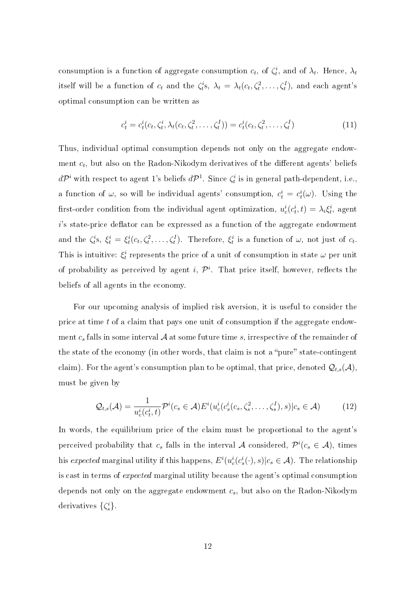consumption is a function of aggregate consumption  $c_t$ , of  $\zeta_t^i$ , and of  $\lambda_t$ . Hence,  $\lambda_t$ itself will be a function of  $c_t$  and the  $\zeta_t^i s$ ,  $\lambda_t = \lambda_t(c_t, \zeta_t^2, \dots, \zeta_t^I)$ , and each agent's optimal consumption can be written as

$$
c_t^i = c_t^i(c_t, \zeta_t^i, \lambda_t(c_t, \zeta_t^2, \dots, \zeta_t^I)) = c_t^i(c_t, \zeta_t^2, \dots, \zeta_t^I)
$$
\n(11)

Thus, individual optimal consumption depends not only on the aggregate endowment  $c_t$ , but also on the Radon-Nikodym derivatives of the different agents' beliefs  $d{\cal P}^i$  with respect to agent 1's beliefs  $d{\cal P}^1.$  Since  $\zeta^i_t$  is in general path-dependent, i.e., a function of  $\omega$ , so will be individual agents' consumption,  $c_t^i = c_t^i(\omega)$ . Using the first-order condition from the individual agent optimization,  $u_c^i(c_t^i, t) = \lambda_i \xi_t^i$ , agent  $i$ 's state-price deflator can be expressed as a function of the aggregate endowment and the  $\zeta_t^i$ s,  $\xi_t^i = \xi_t^i(c_t, \zeta_t^2, \dots, \zeta_t^I)$ . Therefore,  $\xi_t^i$  is a function of  $\omega$ , not just of  $c_t$ . This is intuitive:  $\xi_t^i$  represents the price of a unit of consumption in state  $\omega$  per unit of probability as perceived by agent i,  $\mathcal{P}^i$ . That price itself, however, reflects the beliefs of all agents in the economy.

For our upcoming analysis of implied risk aversion, it is useful to consider the price at time t of a claim that pays one unit of consumption if the aggregate endowment  $c_s$  falls in some interval  $A$  at some future time s, irrespective of the remainder of the state of the economy (in other words, that claim is not a "pure" state-contingent claim). For the agent's consumption plan to be optimal, that price, denoted  $\mathcal{Q}_{t,s}(\mathcal{A})$ , must be given by

$$
\mathcal{Q}_{t,s}(\mathcal{A}) = \frac{1}{u_c^i(c_t^i, t)} \mathcal{P}^i(c_s \in \mathcal{A}) E^i(u_c^i(c_s^i(c_s, \zeta_s^2, \dots, \zeta_s^I), s) | c_s \in \mathcal{A}) \tag{12}
$$

In words, the equilibrium price of the claim must be proportional to the agent's perceived probability that  $c_s$  falls in the interval A considered,  $\mathcal{P}^i(c_s \in \mathcal{A})$ , times his expected marginal utility if this happens,  $E^i(u_c^i(c_s^i(\cdot),s)|c_s \in \mathcal{A})$ . The relationship is cast in terms of expected marginal utility because the agent's optimal consumption depends not only on the aggregate endowment  $c_s$ , but also on the Radon-Nikodym derivatives  $\{\zeta_s^i\}.$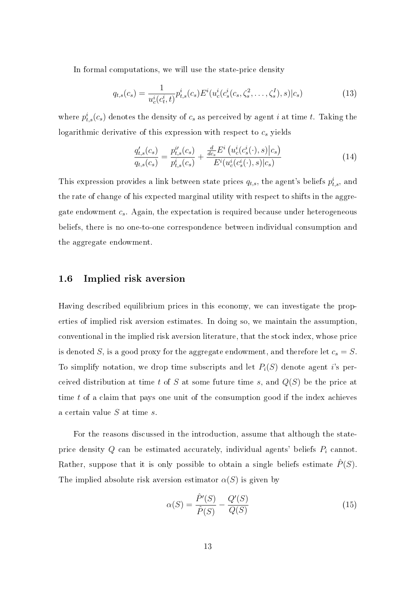In formal computations, we will use the state-price density

$$
q_{t,s}(c_s) = \frac{1}{u_c^i(c_t^i, t)} p_{t,s}^i(c_s) E^i(u_c^i(c_s^i(c_s, \zeta_s^2, \dots, \zeta_s^I), s) | c_s)
$$
(13)

where  $p_{t,s}^i(c_s)$  denotes the density of  $c_s$  as perceived by agent  $i$  at time  $t$ . Taking the logarithmic derivative of this expression with respect to  $c_s$  yields

$$
\frac{q'_{t,s}(c_s)}{q_{t,s}(c_s)} = \frac{p^{i'}_{t,s}(c_s)}{p^{i}_{t,s}(c_s)} + \frac{\frac{d}{dc_s}E^i\left(u^i_c(c^i_s(\cdot), s)\big|c_s\right)}{E^i(u^i_c(c^i_s(\cdot), s)\big|c_s)}
$$
(14)

This expression provides a link between state prices  $q_{t,s}$ , the agent's beliefs  $p_{t,s}^i$ , and the rate of change of his expected marginal utility with respect to shifts in the aggregate endowment  $c_s$ . Again, the expectation is required because under heterogeneous beliefs, there is no one-to-one correspondence between individual consumption and the aggregate endowment.

### 1.6 Implied risk aversion

Having described equilibrium prices in this economy, we can investigate the properties of implied risk aversion estimates. In doing so, we maintain the assumption, conventional in the implied risk aversion literature, that the stock index, whose price is denoted S, is a good proxy for the aggregate endowment, and therefore let  $c_s = S$ . To simplify notation, we drop time subscripts and let  $P_i(S)$  denote agent i's perceived distribution at time t of S at some future time s, and  $Q(S)$  be the price at time t of a claim that pays one unit of the consumption good if the index achieves a certain value  $S$  at time  $s$ .

For the reasons discussed in the introduction, assume that although the stateprice density  $Q$  can be estimated accurately, individual agents' beliefs  $P_i$  cannot. Rather, suppose that it is only possible to obtain a single beliefs estimate  $\hat{P}(S)$ . The implied absolute risk aversion estimator  $\alpha(S)$  is given by

$$
\alpha(S) = \frac{\hat{P}'(S)}{\hat{P}(S)} - \frac{Q'(S)}{Q(S)}
$$
(15)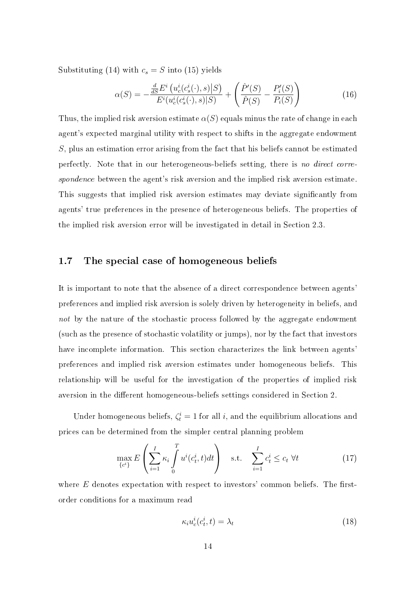Substituting (14) with  $c_s = S$  into (15) yields

$$
\alpha(S) = -\frac{\frac{d}{dS}E^i\left(u_c^i(c_s^i(\cdot), s)|S\right)}{E^i(u_c^i(c_s^i(\cdot), s)|S)} + \left(\frac{\hat{P}'(S)}{\hat{P}(S)} - \frac{P'_i(S)}{P_i(S)}\right)
$$
(16)

Thus, the implied risk aversion estimate  $\alpha(S)$  equals minus the rate of change in each agent's expected marginal utility with respect to shifts in the aggregate endowment S, plus an estimation error arising from the fact that his beliefs cannot be estimated perfectly. Note that in our heterogeneous-beliefs setting, there is no direct correspondence between the agent's risk aversion and the implied risk aversion estimate. This suggests that implied risk aversion estimates may deviate significantly from agents' true preferences in the presence of heterogeneous beliefs. The properties of the implied risk aversion error will be investigated in detail in Section 2.3.

### 1.7 The special case of homogeneous beliefs

It is important to note that the absence of a direct correspondence between agents' preferences and implied risk aversion is solely driven by heterogeneity in beliefs, and not by the nature of the stochastic process followed by the aggregate endowment (such as the presence of stochastic volatility or jumps), nor by the fact that investors have incomplete information. This section characterizes the link between agents' preferences and implied risk aversion estimates under homogeneous beliefs. This relationship will be useful for the investigation of the properties of implied risk aversion in the different homogeneous-beliefs settings considered in Section 2.

Under homogeneous beliefs,  $\zeta_t^i = 1$  for all i, and the equilibrium allocations and prices can be determined from the simpler central planning problem

$$
\max_{\{c^i\}} E\left(\sum_{i=1}^I \kappa_i \int_0^T u^i(c_t^i, t)dt\right) \quad \text{s.t.} \quad \sum_{i=1}^I c_t^i \le c_t \ \forall t \tag{17}
$$

where  $E$  denotes expectation with respect to investors' common beliefs. The firstorder conditions for a maximum read

$$
\kappa_i u_c^i(c_t^i, t) = \lambda_t \tag{18}
$$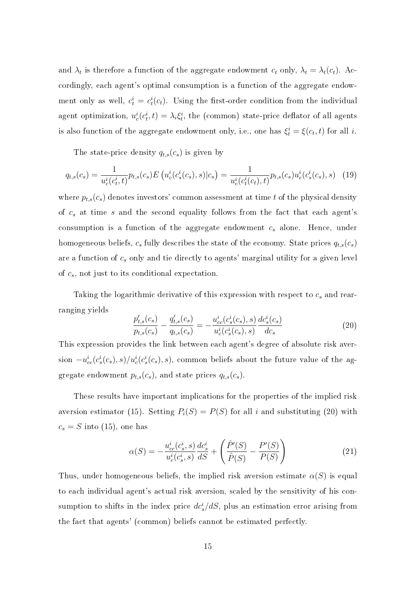and  $\lambda_t$  is therefore a function of the aggregate endowment  $c_t$  only,  $\lambda_t = \lambda_t(c_t)$ . Accordingly, each agent's optimal consumption is a function of the aggregate endowment only as well,  $c_t^i = c_t^i(c_t)$ . Using the first-order condition from the individual agent optimization,  $u_c^i(c_t^i, t) = \lambda_i \xi_t^i$ , the (common) state-price deflator of all agents is also function of the aggregate endowment only, i.e., one has  $\xi_t^i = \xi(c_t, t)$  for all *i*.

The state-price density  $q_{t,s}(c_s)$  is given by

$$
q_{t,s}(c_s) = \frac{1}{u_c^i(c_t^i, t)} p_{t,s}(c_s) E\left(u_c^i(c_s^i(c_s), s)|c_s\right) = \frac{1}{u_c^i(c_t^i(c_t), t)} p_{t,s}(c_s) u_c^i(c_s^i(c_s), s) \tag{19}
$$

where  $p_{t,s}(c_s)$  denotes investors' common assessment at time t of the physical density of  $c_s$  at time s and the second equality follows from the fact that each agent's consumption is a function of the aggregate endowment  $c_s$  alone. Hence, under homogeneous beliefs,  $c_s$  fully describes the state of the economy. State prices  $q_{t,s}(c_s)$ are a function of  $c_s$  only and tie directly to agents' marginal utility for a given level of  $c_s$ , not just to its conditional expectation.

Taking the logarithmic derivative of this expression with respect to  $c_s$  and rearranging yields

$$
\frac{p'_{t,s}(c_s)}{p_{t,s}(c_s)} - \frac{q'_{t,s}(c_s)}{q_{t,s}(c_s)} = -\frac{u_{cc}^i(c_s^i(c_s), s)}{u_c^i(c_s^i(c_s), s)} \frac{dc_s^i(c_s)}{dc_s} \tag{20}
$$

This expression provides the link between each agent's degree of absolute risk aversion  $-u_{cc}^i(c_s^i(c_s),s)/u_c^i(c_s^i(c_s),s)$ , common beliefs about the future value of the aggregate endowment  $p_{t,s}(\boldsymbol{c}_s),$  and state prices  $q_{t,s}(\boldsymbol{c}_s)$ 

These results have important implications for the properties of the implied risk aversion estimator (15). Setting  $P_i(S) = P(S)$  for all i and substituting (20) with  $c_s = S$  into (15), one has

$$
\alpha(S) = -\frac{u_{cc}^i(c_s^i, s)}{u_c^i(c_s^i, s)} \frac{dc_s^i}{dS} + \left(\frac{\hat{P}'(S)}{\hat{P}(S)} - \frac{P'(S)}{P(S)}\right)
$$
(21)

Thus, under homogeneous beliefs, the implied risk aversion estimate  $\alpha(S)$  is equal to each individual agent's actual risk aversion, scaled by the sensitivity of his consumption to shifts in the index price  $dc_s^i/dS$ , plus an estimation error arising from the fact that agents' (common) beliefs cannot be estimated perfectly.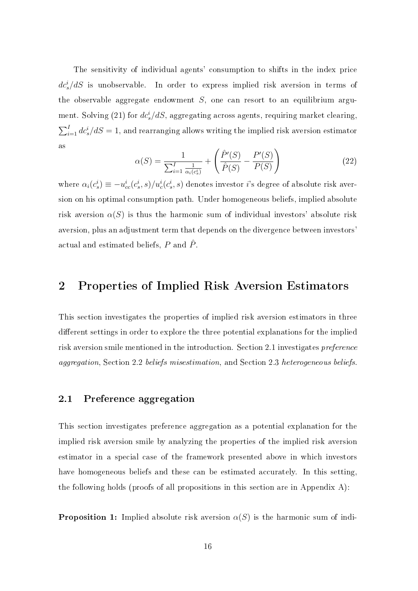The sensitivity of individual agents' consumption to shifts in the index price  $dc^i_s/dS$  is unobservable. In order to express implied risk aversion in terms of the observable aggregate endowment  $S$ , one can resort to an equilibrium argument. Solving (21) for  $dc^i_s/dS$ , aggregating across agents, requiring market clearing,  $\sum_{i=1}^{I}dc_{s}^{i}/dS=1,$  and rearranging allows writing the implied risk aversion estimator as  $\overline{a}$ !<br>}

$$
\alpha(S) = \frac{1}{\sum_{i=1}^{I} \frac{1}{\alpha_i(c_s^i)}} + \left(\frac{\hat{P}'(S)}{\hat{P}(S)} - \frac{P'(S)}{P(S)}\right)
$$
(22)

where  $\alpha_i(c_s^i) \equiv -u_{cc}^i(c_s^i,s)/u_c^i(c_s^i,s)$  denotes investor  $i$ 's degree of absolute risk aversion on his optimal consumption path. Under homogeneous beliefs, implied absolute risk aversion  $\alpha(S)$  is thus the harmonic sum of individual investors' absolute risk aversion, plus an adjustment term that depends on the divergence between investors' actual and estimated beliefs,  $P$  and  $\hat{P}$ .

# 2 Properties of Implied Risk Aversion Estimators

This section investigates the properties of implied risk aversion estimators in three different settings in order to explore the three potential explanations for the implied risk aversion smile mentioned in the introduction. Section 2.1 investigates preference aggregation, Section 2.2 beliefs misestimation, and Section 2.3 heterogeneous beliefs.

## 2.1 Preference aggregation

This section investigates preference aggregation as a potential explanation for the implied risk aversion smile by analyzing the properties of the implied risk aversion estimator in a special case of the framework presented above in which investors have homogeneous beliefs and these can be estimated accurately. In this setting, the following holds (proofs of all propositions in this section are in Appendix A):

**Proposition 1:** Implied absolute risk aversion  $\alpha(S)$  is the harmonic sum of indi-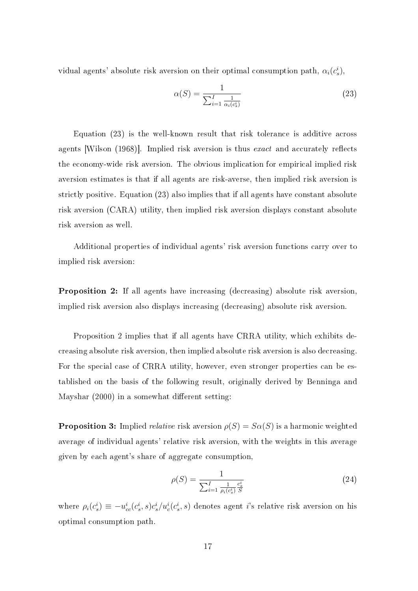vidual agents' absolute risk aversion on their optimal consumption path,  $\alpha_i(c_s^i)$ ,

$$
\alpha(S) = \frac{1}{\sum_{i=1}^{I} \frac{1}{\alpha_i(c_s^i)}}
$$
\n(23)

Equation (23) is the well-known result that risk tolerance is additive across agents [Wilson  $(1968)$ ]. Implied risk aversion is thus *exact* and accurately reflects the economy-wide risk aversion. The obvious implication for empirical implied risk aversion estimates is that if all agents are risk-averse, then implied risk aversion is strictly positive. Equation (23) also implies that if all agents have constant absolute risk aversion (CARA) utility, then implied risk aversion displays constant absolute risk aversion as well.

Additional properties of individual agents' risk aversion functions carry over to implied risk aversion:

Proposition 2: If all agents have increasing (decreasing) absolute risk aversion, implied risk aversion also displays increasing (decreasing) absolute risk aversion.

Proposition 2 implies that if all agents have CRRA utility, which exhibits decreasing absolute risk aversion, then implied absolute risk aversion is also decreasing. For the special case of CRRA utility, however, even stronger properties can be established on the basis of the following result, originally derived by Benninga and Mayshar  $(2000)$  in a somewhat different setting:

**Proposition 3:** Implied *relative* risk aversion  $\rho(S) = S\alpha(S)$  is a harmonic weighted average of individual agents' relative risk aversion, with the weights in this average given by each agent's share of aggregate consumption,

$$
\rho(S) = \frac{1}{\sum_{i=1}^{I} \frac{1}{\rho_i(c_s^i)} \frac{c_s^i}{S}}
$$
\n(24)

where  $\rho_i(c_s^i) \equiv -u_{cc}^i(c_s^i, s)c_s^i/u_c^i(c_s^i, s)$  denotes agent *i*'s relative risk aversion on his optimal consumption path.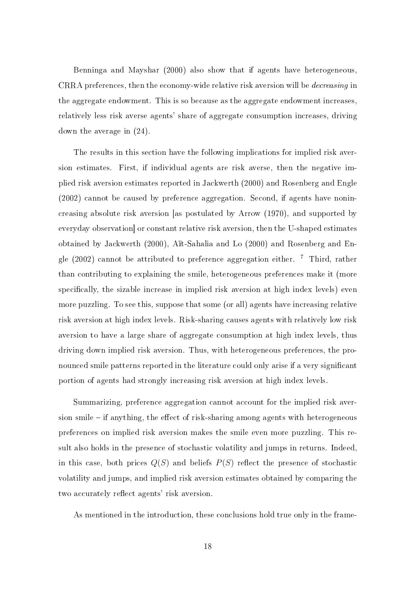Benninga and Mayshar (2000) also show that if agents have heterogeneous, CRRA preferences, then the economy-wide relative risk aversion will be decreasing in the aggregate endowment. This is so because as the aggregate endowment increases, relatively less risk averse agents' share of aggregate consumption increases, driving down the average in (24).

The results in this section have the following implications for implied risk aversion estimates. First, if individual agents are risk averse, then the negative implied risk aversion estimates reported in Jackwerth (2000) and Rosenberg and Engle (2002) cannot be caused by preference aggregation. Second, if agents have nonincreasing absolute risk aversion [as postulated by Arrow (1970), and supported by everyday observation] or constant relative risk aversion, then the U-shaped estimates obtained by Jackwerth (2000), Aït-Sahalia and Lo (2000) and Rosenberg and Engle (2002) cannot be attributed to preference aggregation either.  $7$  Third, rather than contributing to explaining the smile, heterogeneous preferences make it (more specifically, the sizable increase in implied risk aversion at high index levels) even more puzzling. To see this, suppose that some (or all) agents have increasing relative risk aversion at high index levels. Risk-sharing causes agents with relatively low risk aversion to have a large share of aggregate consumption at high index levels, thus driving down implied risk aversion. Thus, with heterogeneous preferences, the pronounced smile patterns reported in the literature could only arise if a very significant portion of agents had strongly increasing risk aversion at high index levels.

Summarizing, preference aggregation cannot account for the implied risk aversion smile  $-$  if anything, the effect of risk-sharing among agents with heterogeneous preferences on implied risk aversion makes the smile even more puzzling. This result also holds in the presence of stochastic volatility and jumps in returns. Indeed, in this case, both prices  $Q(S)$  and beliefs  $P(S)$  reflect the presence of stochastic volatility and jumps, and implied risk aversion estimates obtained by comparing the two accurately reflect agents' risk aversion.

As mentioned in the introduction, these conclusions hold true only in the frame-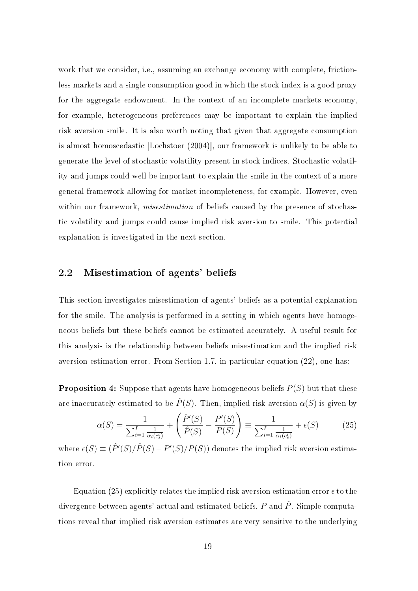work that we consider, i.e., assuming an exchange economy with complete, frictionless markets and a single consumption good in which the stock index is a good proxy for the aggregate endowment. In the context of an incomplete markets economy, for example, heterogeneous preferences may be important to explain the implied risk aversion smile. It is also worth noting that given that aggregate consumption is almost homoscedastic [Lochstoer (2004)], our framework is unlikely to be able to generate the level of stochastic volatility present in stock indices. Stochastic volatility and jumps could well be important to explain the smile in the context of a more general framework allowing for market incompleteness, for example. However, even within our framework, *misestimation* of beliefs caused by the presence of stochastic volatility and jumps could cause implied risk aversion to smile. This potential explanation is investigated in the next section.

### 2.2 Misestimation of agents' beliefs

This section investigates misestimation of agents' beliefs as a potential explanation for the smile. The analysis is performed in a setting in which agents have homogeneous beliefs but these beliefs cannot be estimated accurately. A useful result for this analysis is the relationship between beliefs misestimation and the implied risk aversion estimation error. From Section 1.7, in particular equation (22), one has:

**Proposition 4:** Suppose that agents have homogeneous beliefs  $P(S)$  but that these are inaccurately estimated to be  $\hat{P}(S)$ . Then, implied risk aversion  $\alpha(S)$  is given by  $\overline{a}$ !<br>}

$$
\alpha(S) = \frac{1}{\sum_{i=1}^{I} \frac{1}{\alpha_i(c_s^i)}} + \left(\frac{\hat{P}'(S)}{\hat{P}(S)} - \frac{P'(S)}{P(S)}\right) \equiv \frac{1}{\sum_{i=1}^{I} \frac{1}{\alpha_i(c_s^i)}} + \epsilon(S)
$$
(25)

where  $\epsilon(S) \equiv (\hat{P}'(S)/\hat{P}(S) - P'(S)/P(S))$  denotes the implied risk aversion estimation error.

Equation (25) explicitly relates the implied risk aversion estimation error  $\epsilon$  to the divergence between agents' actual and estimated beliefs,  $P$  and  $\hat{P}$ . Simple computations reveal that implied risk aversion estimates are very sensitive to the underlying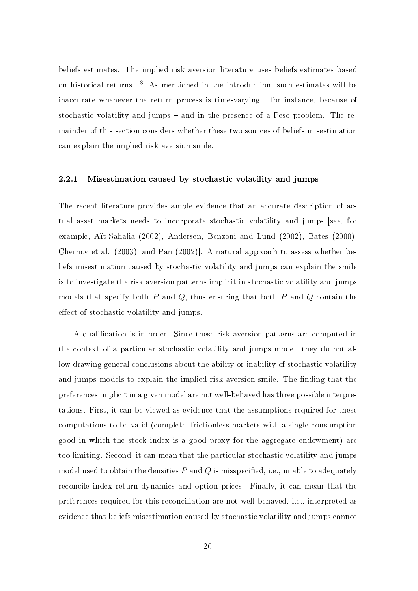beliefs estimates. The implied risk aversion literature uses beliefs estimates based on historical returns. <sup>8</sup> As mentioned in the introduction, such estimates will be inaccurate whenever the return process is time-varying  $-$  for instance, because of stochastic volatility and jumps  $-$  and in the presence of a Peso problem. The remainder of this section considers whether these two sources of beliefs misestimation can explain the implied risk aversion smile.

#### 2.2.1 Misestimation caused by stochastic volatility and jumps

The recent literature provides ample evidence that an accurate description of actual asset markets needs to incorporate stochastic volatility and jumps [see, for example, Aït-Sahalia (2002), Andersen, Benzoni and Lund (2002), Bates (2000), Chernov et al. (2003), and Pan (2002)]. A natural approach to assess whether beliefs misestimation caused by stochastic volatility and jumps can explain the smile is to investigate the risk aversion patterns implicit in stochastic volatility and jumps models that specify both  $P$  and  $Q$ , thus ensuring that both  $P$  and  $Q$  contain the effect of stochastic volatility and jumps.

A qualification is in order. Since these risk aversion patterns are computed in the context of a particular stochastic volatility and jumps model, they do not allow drawing general conclusions about the ability or inability of stochastic volatility and jumps models to explain the implied risk aversion smile. The finding that the preferences implicit in a given model are not well-behaved has three possible interpretations. First, it can be viewed as evidence that the assumptions required for these computations to be valid (complete, frictionless markets with a single consumption good in which the stock index is a good proxy for the aggregate endowment) are too limiting. Second, it can mean that the particular stochastic volatility and jumps model used to obtain the densities  $P$  and  $Q$  is misspecified, i.e., unable to adequately reconcile index return dynamics and option prices. Finally, it can mean that the preferences required for this reconciliation are not well-behaved, i.e., interpreted as evidence that beliefs misestimation caused by stochastic volatility and jumps cannot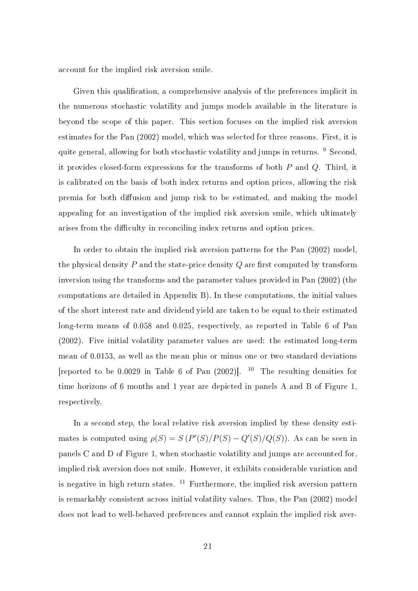account for the implied risk aversion smile.

Given this qualification, a comprehensive analysis of the preferences implicit in the numerous stochastic volatility and jumps models available in the literature is beyond the scope of this paper. This section focuses on the implied risk aversion estimates for the Pan (2002) model, which was selected for three reasons. First, it is quite general, allowing for both stochastic volatility and jumps in returns. <sup>9</sup> Second, it provides closed-form expressions for the transforms of both P and Q. Third, it is calibrated on the basis of both index returns and option prices, allowing the risk premia for both diffusion and jump risk to be estimated, and making the model appealing for an investigation of the implied risk aversion smile, which ultimately arises from the difficulty in reconciling index returns and option prices.

In order to obtain the implied risk aversion patterns for the Pan (2002) model, the physical density  $P$  and the state-price density  $Q$  are first computed by transform inversion using the transforms and the parameter values provided in Pan (2002) (the computations are detailed in Appendix B). In these computations, the initial values of the short interest rate and dividend yield are taken to be equal to their estimated long-term means of 0.058 and 0.025, respectively, as reported in Table 6 of Pan (2002). Five initial volatility parameter values are used: the estimated long-term mean of 0.0153, as well as the mean plus or minus one or two standard deviations [reported to be 0.0029 in Table 6 of Pan  $(2002)$ ]. <sup>10</sup> The resulting densities for time horizons of 6 months and 1 year are depicted in panels A and B of Figure 1, respectively.

In a second step, the local relative risk aversion implied by these density estimates is computed using  $\rho(S) = S(P'(S)/P(S) - Q'(S)/Q(S))$ . As can be seen in panels C and D of Figure 1, when stochastic volatility and jumps are accounted for, implied risk aversion does not smile. However, it exhibits considerable variation and is negative in high return states.  $11$  Furthermore, the implied risk aversion pattern is remarkably consistent across initial volatility values. Thus, the Pan (2002) model does not lead to well-behaved preferences and cannot explain the implied risk aver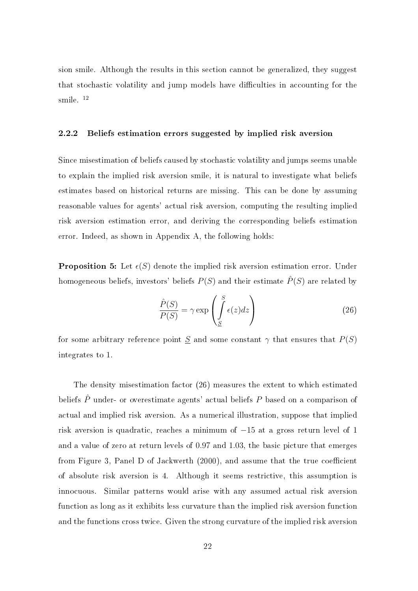sion smile. Although the results in this section cannot be generalized, they suggest that stochastic volatility and jump models have difficulties in accounting for the smile.<sup>12</sup>

#### 2.2.2 Beliefs estimation errors suggested by implied risk aversion

Since misestimation of beliefs caused by stochastic volatility and jumps seems unable to explain the implied risk aversion smile, it is natural to investigate what beliefs estimates based on historical returns are missing. This can be done by assuming reasonable values for agents' actual risk aversion, computing the resulting implied risk aversion estimation error, and deriving the corresponding beliefs estimation error. Indeed, as shown in Appendix A, the following holds:

**Proposition 5:** Let  $\epsilon(S)$  denote the implied risk aversion estimation error. Under homogeneous beliefs, investors' beliefs  $P(S)$  and their estimate  $\hat{P}(S)$  are related by

$$
\frac{\hat{P}(S)}{P(S)} = \gamma \exp\left(\int_{S}^{S} \epsilon(z) dz\right)
$$
\n(26)

for some arbitrary reference point  $S$  and some constant  $\gamma$  that ensures that  $P(S)$ integrates to 1.

The density misestimation factor (26) measures the extent to which estimated beliefs  $\hat{P}$  under- or overestimate agents' actual beliefs  $P$  based on a comparison of actual and implied risk aversion. As a numerical illustration, suppose that implied risk aversion is quadratic, reaches a minimum of −15 at a gross return level of 1 and a value of zero at return levels of 0.97 and 1.03, the basic picture that emerges from Figure 3, Panel D of Jackwerth  $(2000)$ , and assume that the true coefficient of absolute risk aversion is 4. Although it seems restrictive, this assumption is innocuous. Similar patterns would arise with any assumed actual risk aversion function as long as it exhibits less curvature than the implied risk aversion function and the functions cross twice. Given the strong curvature of the implied risk aversion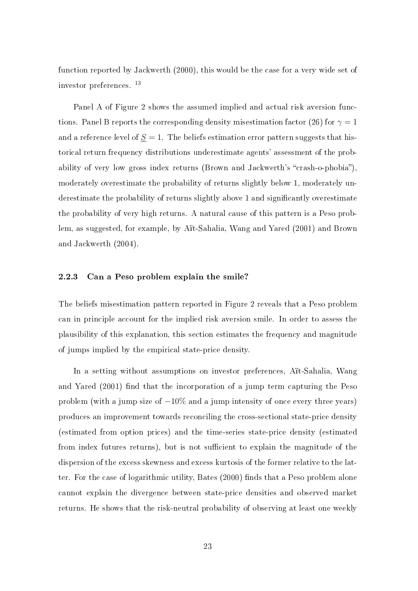function reported by Jackwerth (2000), this would be the case for a very wide set of investor preferences. <sup>13</sup>

Panel A of Figure 2 shows the assumed implied and actual risk aversion functions. Panel B reports the corresponding density misestimation factor (26) for  $\gamma = 1$ and a reference level of  $S = 1$ . The beliefs estimation error pattern suggests that historical return frequency distributions underestimate agents' assessment of the probability of very low gross index returns (Brown and Jackwerth's "crash-o-phobia"). moderately overestimate the probability of returns slightly below 1, moderately underestimate the probability of returns slightly above 1 and signicantly overestimate the probability of very high returns. A natural cause of this pattern is a Peso problem, as suggested, for example, by Aït-Sahalia, Wang and Yared (2001) and Brown and Jackwerth (2004).

#### 2.2.3 Can a Peso problem explain the smile?

The beliefs misestimation pattern reported in Figure 2 reveals that a Peso problem can in principle account for the implied risk aversion smile. In order to assess the plausibility of this explanation, this section estimates the frequency and magnitude of jumps implied by the empirical state-price density.

In a setting without assumptions on investor preferences, Aït-Sahalia, Wang and Yared (2001) find that the incorporation of a jump term capturing the Peso problem (with a jump size of  $-10\%$  and a jump intensity of once every three years) produces an improvement towards reconciling the cross-sectional state-price density (estimated from option prices) and the time-series state-price density (estimated from index futures returns), but is not sufficient to explain the magnitude of the dispersion of the excess skewness and excess kurtosis of the former relative to the latter. For the case of logarithmic utility, Bates (2000) finds that a Peso problem alone cannot explain the divergence between state-price densities and observed market returns. He shows that the risk-neutral probability of observing at least one weekly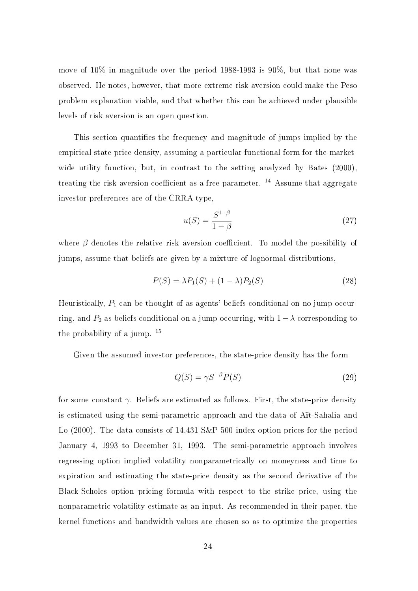move of 10% in magnitude over the period 1988-1993 is 90%, but that none was observed. He notes, however, that more extreme risk aversion could make the Peso problem explanation viable, and that whether this can be achieved under plausible levels of risk aversion is an open question.

This section quantifies the frequency and magnitude of jumps implied by the empirical state-price density, assuming a particular functional form for the marketwide utility function, but, in contrast to the setting analyzed by Bates  $(2000)$ , treating the risk aversion coefficient as a free parameter.  $^{14}$  Assume that aggregate investor preferences are of the CRRA type,

$$
u(S) = \frac{S^{1-\beta}}{1-\beta} \tag{27}
$$

where  $\beta$  denotes the relative risk aversion coefficient. To model the possibility of jumps, assume that beliefs are given by a mixture of lognormal distributions,

$$
P(S) = \lambda P_1(S) + (1 - \lambda)P_2(S)
$$
\n<sup>(28)</sup>

Heuristically,  $P_1$  can be thought of as agents' beliefs conditional on no jump occurring, and  $P_2$  as beliefs conditional on a jump occurring, with  $1 - \lambda$  corresponding to the probability of a jump.  $15$ 

Given the assumed investor preferences, the state-price density has the form

$$
Q(S) = \gamma S^{-\beta} P(S) \tag{29}
$$

for some constant  $\gamma$ . Beliefs are estimated as follows. First, the state-price density is estimated using the semi-parametric approach and the data of Aït-Sahalia and Lo (2000). The data consists of 14,431 S&P 500 index option prices for the period January 4, 1993 to December 31, 1993. The semi-parametric approach involves regressing option implied volatility nonparametrically on moneyness and time to expiration and estimating the state-price density as the second derivative of the Black-Scholes option pricing formula with respect to the strike price, using the nonparametric volatility estimate as an input. As recommended in their paper, the kernel functions and bandwidth values are chosen so as to optimize the properties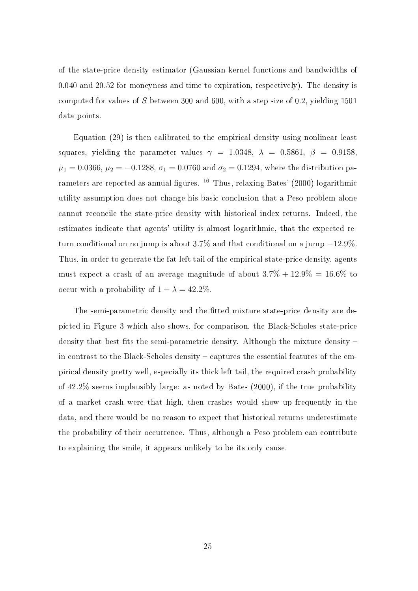of the state-price density estimator (Gaussian kernel functions and bandwidths of 0.040 and 20.52 for moneyness and time to expiration, respectively). The density is computed for values of S between 300 and 600, with a step size of 0.2, yielding 1501 data points.

Equation (29) is then calibrated to the empirical density using nonlinear least squares, yielding the parameter values  $\gamma = 1.0348$ ,  $\lambda = 0.5861$ ,  $\beta = 0.9158$ ,  $\mu_1 = 0.0366, \mu_2 = -0.1288, \sigma_1 = 0.0760 \text{ and } \sigma_2 = 0.1294, \text{ where the distribution pa$ rameters are reported as annual figures.  $^{16}$  Thus, relaxing Bates' (2000) logarithmic utility assumption does not change his basic conclusion that a Peso problem alone cannot reconcile the state-price density with historical index returns. Indeed, the estimates indicate that agents' utility is almost logarithmic, that the expected return conditional on no jump is about 3.7% and that conditional on a jump −12.9%. Thus, in order to generate the fat left tail of the empirical state-price density, agents must expect a crash of an average magnitude of about  $3.7\% + 12.9\% = 16.6\%$  to occur with a probability of  $1 - \lambda = 42.2\%$ .

The semi-parametric density and the fitted mixture state-price density are depicted in Figure 3 which also shows, for comparison, the Black-Scholes state-price density that best fits the semi-parametric density. Although the mixture density  $$ in contrast to the Black-Scholes density  $-$  captures the essential features of the empirical density pretty well, especially its thick left tail, the required crash probability of 42.2% seems implausibly large: as noted by Bates (2000), if the true probability of a market crash were that high, then crashes would show up frequently in the data, and there would be no reason to expect that historical returns underestimate the probability of their occurrence. Thus, although a Peso problem can contribute to explaining the smile, it appears unlikely to be its only cause.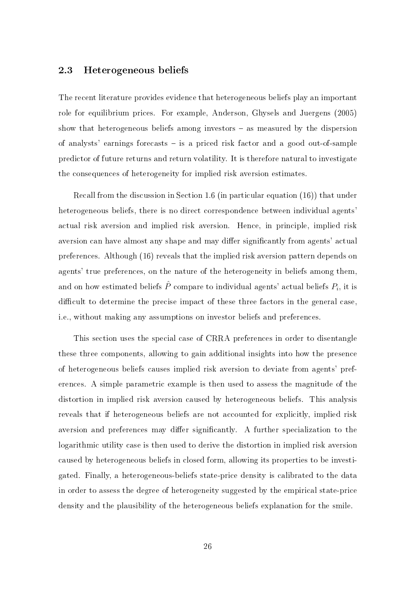### 2.3 Heterogeneous beliefs

The recent literature provides evidence that heterogeneous beliefs play an important role for equilibrium prices. For example, Anderson, Ghysels and Juergens (2005) show that heterogeneous beliefs among investors  $-$  as measured by the dispersion of analysts' earnings forecasts is a priced risk factor and a good out-of-sample predictor of future returns and return volatility. It is therefore natural to investigate the consequences of heterogeneity for implied risk aversion estimates.

Recall from the discussion in Section 1.6 (in particular equation (16)) that under heterogeneous beliefs, there is no direct correspondence between individual agents' actual risk aversion and implied risk aversion. Hence, in principle, implied risk aversion can have almost any shape and may differ significantly from agents' actual preferences. Although (16) reveals that the implied risk aversion pattern depends on agents' true preferences, on the nature of the heterogeneity in beliefs among them, and on how estimated beliefs  $\hat{P}$  compare to individual agents' actual beliefs  $P_i$ , it is difficult to determine the precise impact of these three factors in the general case, i.e., without making any assumptions on investor beliefs and preferences.

This section uses the special case of CRRA preferences in order to disentangle these three components, allowing to gain additional insights into how the presence of heterogeneous beliefs causes implied risk aversion to deviate from agents' preferences. A simple parametric example is then used to assess the magnitude of the distortion in implied risk aversion caused by heterogeneous beliefs. This analysis reveals that if heterogeneous beliefs are not accounted for explicitly, implied risk aversion and preferences may differ significantly. A further specialization to the logarithmic utility case is then used to derive the distortion in implied risk aversion caused by heterogeneous beliefs in closed form, allowing its properties to be investigated. Finally, a heterogeneous-beliefs state-price density is calibrated to the data in order to assess the degree of heterogeneity suggested by the empirical state-price density and the plausibility of the heterogeneous beliefs explanation for the smile.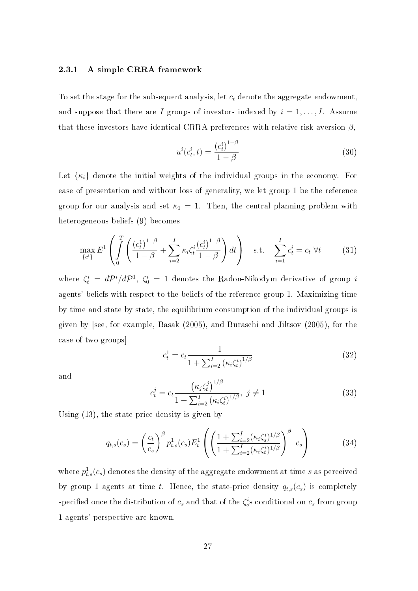### 2.3.1 A simple CRRA framework

To set the stage for the subsequent analysis, let  $c_t$  denote the aggregate endowment, and suppose that there are I groups of investors indexed by  $i = 1, \ldots, I$ . Assume that these investors have identical CRRA preferences with relative risk aversion  $\beta$ ,

$$
u^{i}(c_{t}^{i},t) = \frac{(c_{t}^{i})^{1-\beta}}{1-\beta}
$$
\n(30)

Let  $\{\kappa_i\}$  denote the initial weights of the individual groups in the economy. For ease of presentation and without loss of generality, we let group 1 be the reference group for our analysis and set  $\kappa_1 = 1$ . Then, the central planning problem with heterogeneous beliefs (9) becomes

$$
\max_{\{c^i\}} E^1 \left( \int_0^T \left( \frac{(c_t^1)^{1-\beta}}{1-\beta} + \sum_{i=2}^I \kappa_i \zeta_t^i \frac{(c_t^i)^{1-\beta}}{1-\beta} \right) dt \right) \quad \text{s.t.} \quad \sum_{i=1}^I c_t^i = c_t \ \forall t \tag{31}
$$

where  $\zeta_t^i = d\mathcal{P}^i/d\mathcal{P}^1$ ,  $\zeta_0^i = 1$  denotes the Radon-Nikodym derivative of group i agents' beliefs with respect to the beliefs of the reference group 1. Maximizing time by time and state by state, the equilibrium consumption of the individual groups is given by [see, for example, Basak (2005), and Buraschi and Jiltsov (2005), for the case of two groups]

$$
c_t^1 = c_t \frac{1}{1 + \sum_{i=2}^I \left(\kappa_i \zeta_t^i\right)^{1/\beta}}\tag{32}
$$

and

$$
c_t^j = c_t \frac{\left(\kappa_j \zeta_t^j\right)^{1/\beta}}{1 + \sum_{i=2}^I \left(\kappa_i \zeta_t^i\right)^{1/\beta}}, \ j \neq 1
$$
\n(33)

Using (13), the state-price density is given by

$$
q_{t,s}(c_s) = \left(\frac{c_t}{c_s}\right)^{\beta} p_{t,s}^1(c_s) E_t^1 \left( \left(\frac{1 + \sum_{i=2}^I (\kappa_i \zeta_s^i)^{1/\beta}}{1 + \sum_{i=2}^I (\kappa_i \zeta_t^i)^{1/\beta}}\right)^{\beta} \Big| c_s \right) \tag{34}
$$

where  $p_{t,s}^1(c_s)$  denotes the density of the aggregate endowment at time  $s$  as perceived by group 1 agents at time t. Hence, the state-price density  $q_{t,s}(c_s)$  is completely specified once the distribution of  $c_s$  and that of the  $\zeta_s^i$ s conditional on  $c_s$  from group 1 agents' perspective are known.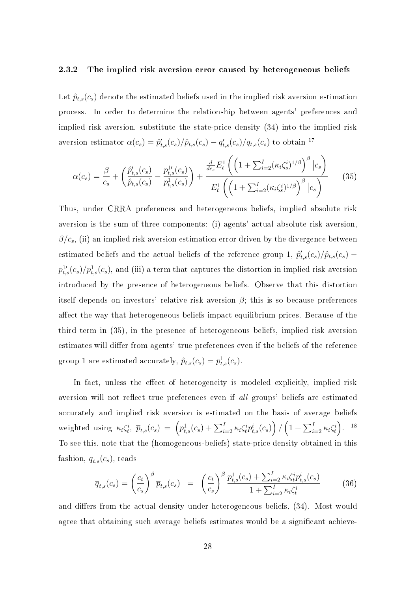#### 2.3.2 The implied risk aversion error caused by heterogeneous beliefs

Let  $\hat{p}_{t,s}(c_s)$  denote the estimated beliefs used in the implied risk aversion estimation process. In order to determine the relationship between agents' preferences and implied risk aversion, substitute the state-price density (34) into the implied risk aversion estimator  $\alpha(c_s) = \hat{p}'_{t,s}(c_s)/\hat{p}_{t,s}(c_s) - q'_{t,s}(c_s)/q_{t,s}(c_s)$  to obtain <sup>17</sup>

$$
\alpha(c_s) = \frac{\beta}{c_s} + \left(\frac{\hat{p}'_{t,s}(c_s)}{\hat{p}_{t,s}(c_s)} - \frac{p^{\{1\}}_{t,s}(c_s)}{p^{\{1\}}_{t,s}(c_s)}\right) + \frac{\frac{d}{dc_s}E_t^1\left(\left(1 + \sum_{i=2}^I (\kappa_i\zeta_s^i)^{1/\beta}\right)^{\beta}|c_s\right)}{E_t^1\left(\left(1 + \sum_{i=2}^I (\kappa_i\zeta_s^i)^{1/\beta}\right)^{\beta}|c_s\right)}
$$
(35)

Thus, under CRRA preferences and heterogeneous beliefs, implied absolute risk aversion is the sum of three components: (i) agents' actual absolute risk aversion,  $\beta/c_s$ , (ii) an implied risk aversion estimation error driven by the divergence between estimated beliefs and the actual beliefs of the reference group 1,  $\hat{p}'_{t,s}(c_s)/\hat{p}_{t,s}(c_s)$  –  $p_{t,s}^{1\prime}(c_s)/p_{t,s}^{1}(c_s)$ , and (iii) a term that captures the distortion in implied risk aversion introduced by the presence of heterogeneous beliefs. Observe that this distortion itself depends on investors' relative risk aversion  $\beta$ ; this is so because preferences affect the way that heterogeneous beliefs impact equilibrium prices. Because of the third term in (35), in the presence of heterogeneous beliefs, implied risk aversion estimates will differ from agents' true preferences even if the beliefs of the reference group 1 are estimated accurately,  $\hat{p}_{t,s}(c_s) = p_{t,s}^1(c_s)$ .

In fact, unless the effect of heterogeneity is modeled explicitly, implied risk aversion will not reflect true preferences even if all groups' beliefs are estimated accurately and implied risk aversion is estimated on the basis of average beliefs weighted using  $\kappa_i \zeta_t^i$ ,  $\bar{p}_{t,s}(c_s) = \left( p_{t,s}^1(c_s) + \sum_{i=2}^I \kappa_i \zeta_t^i p_{t,s}^i(c_s) \right)$  $\tilde{\zeta}$ /  $\left(1 + \sum_{i=2}^I \kappa_i \zeta_t^i \right)$ ´ . 18 To see this, note that the (homogeneous-beliefs) state-price density obtained in this fashion,  $\overline{q}_{t,s}(c_s)$ , reads

$$
\overline{q}_{t,s}(c_s) = \left(\frac{c_t}{c_s}\right)^{\beta} \overline{p}_{t,s}(c_s) = \left(\frac{c_t}{c_s}\right)^{\beta} \frac{p_{t,s}^1(c_s) + \sum_{i=2}^I \kappa_i \zeta_t^i p_{t,s}^i(c_s)}{1 + \sum_{i=2}^I \kappa_i \zeta_t^i} \tag{36}
$$

and differs from the actual density under heterogeneous beliefs,  $(34)$ . Most would agree that obtaining such average beliefs estimates would be a significant achieve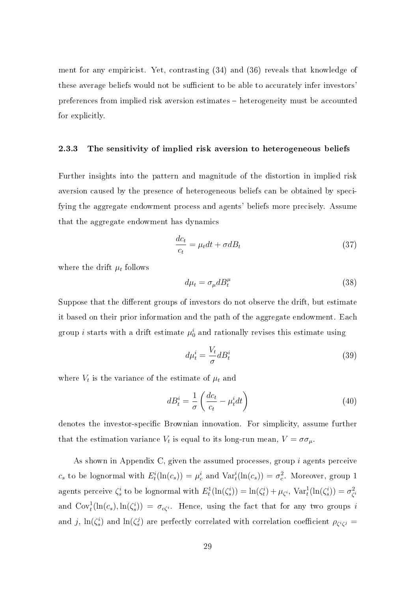ment for any empiricist. Yet, contrasting (34) and (36) reveals that knowledge of these average beliefs would not be sufficient to be able to accurately infer investors' preferences from implied risk aversion estimates heterogeneity must be accounted for explicitly.

#### 2.3.3 The sensitivity of implied risk aversion to heterogeneous beliefs

Further insights into the pattern and magnitude of the distortion in implied risk aversion caused by the presence of heterogeneous beliefs can be obtained by specifying the aggregate endowment process and agents' beliefs more precisely. Assume that the aggregate endowment has dynamics

$$
\frac{dc_t}{c_t} = \mu_t dt + \sigma dB_t \tag{37}
$$

where the drift  $\mu_t$  follows

$$
d\mu_t = \sigma_\mu d B_t^\mu \tag{38}
$$

Suppose that the different groups of investors do not observe the drift, but estimate it based on their prior information and the path of the aggregate endowment. Each group  $i$  starts with a drift estimate  $\mu_0^i$  and rationally revises this estimate using

$$
d\mu_t^i = \frac{V_t}{\sigma} d_i^i \tag{39}
$$

where  $V_t$  is the variance of the estimate of  $\mu_t$  and

$$
dB_t^i = \frac{1}{\sigma} \left( \frac{dc_t}{c_t} - \mu_t^i dt \right) \tag{40}
$$

denotes the investor-specific Brownian innovation. For simplicity, assume further that the estimation variance  $V_t$  is equal to its long-run mean,  $V = \sigma \sigma_\mu$ .

As shown in Appendix C, given the assumed processes, group  $i$  agents perceive  $c_s$  to be lognormal with  $E^i_t(\ln(c_s)) = \mu_c^i$  and  $\text{Var}^i_t(\ln(c_s)) = \sigma_c^2$ . Moreover, group 1 agents perceive  $\zeta_s^i$  to be lognormal with  $E_t^1(\ln(\zeta_s^i)) = \ln(\zeta_t^i) + \mu_{\zeta^i}$ ,  $\text{Var}_t^1(\ln(\zeta_s^i)) = \sigma_{\zeta}^2$  $\zeta^i$ and  $Cov_t^1(\ln(c_s), \ln(\zeta_s^i)) = \sigma_{c\zeta^i}$ . Hence, using the fact that for any two groups i and j,  $\ln(\zeta_s^i)$  and  $\ln(\zeta_s^j)$  are perfectly correlated with correlation coefficient  $\rho_{\zeta^i\zeta^j} =$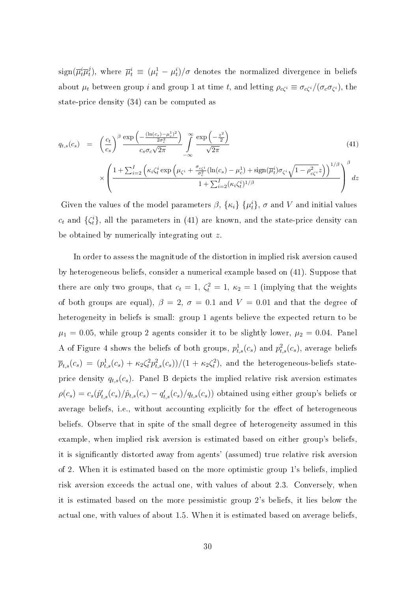$sign(\overline{\mu}_t^i\overline{\mu}_t^j)$ <sup>j</sup>), where  $\overline{\mu}_t^i \equiv (\mu_t^1 - \mu_t^i)/\sigma$  denotes the normalized divergence in beliefs about  $\mu_t$  between group i and group 1 at time t, and letting  $\rho_{c\zeta} \equiv \sigma_{c\zeta} i/(\sigma_c \sigma_{\zeta} i)$ , the state-price density (34) can be computed as

$$
q_{t,s}(c_s) = \left(\frac{c_t}{c_s}\right)^{\beta} \frac{\exp\left(-\frac{(\ln(c_s) - \mu_c^1)^2}{2\sigma_c^2}\right)}{c_s \sigma_c \sqrt{2\pi}} \int_{-\infty}^{\infty} \frac{\exp\left(-\frac{z^2}{2}\right)}{\sqrt{2\pi}} \sqrt{2\pi}
$$
\n
$$
\times \left(\frac{1 + \sum_{i=2}^I \left(\kappa_i \zeta_t^i \exp\left(\mu_{\zeta^i} + \frac{\sigma_{c\zeta^i}}{\sigma_c^2} (\ln(c_s) - \mu_c^1) + \text{sign}(\overline{\mu}_t^i) \sigma_{\zeta^i} \sqrt{1 - \rho_{c\zeta^i}^2 z}\right)\right)^{1/\beta}}{1 + \sum_{i=2}^I (\kappa_i \zeta_t^i)^{1/\beta}}\right)^{\beta} dz
$$
\n(41)

Given the values of the model parameters  $\beta$ ,  $\{\kappa_i\}$   $\{\mu_t^i\}$ ,  $\sigma$  and  $V$  and initial values  $c_t$  and  $\{\zeta_t^i\}$ , all the parameters in (41) are known, and the state-price density can be obtained by numerically integrating out z.

 $\overline{\mathcal{L}}$ 

In order to assess the magnitude of the distortion in implied risk aversion caused by heterogeneous beliefs, consider a numerical example based on (41). Suppose that there are only two groups, that  $c_t = 1$ ,  $\zeta_t^2 = 1$ ,  $\kappa_2 = 1$  (implying that the weights of both groups are equal),  $\beta = 2$ ,  $\sigma = 0.1$  and  $V = 0.01$  and that the degree of heterogeneity in beliefs is small: group 1 agents believe the expected return to be  $\mu_1 = 0.05$ , while group 2 agents consider it to be slightly lower,  $\mu_2 = 0.04$ . Panel A of Figure 4 shows the beliefs of both groups,  $p_{t,s}^1(c_s)$  and  $p_{t,s}^2(c_s)$ , average beliefs  $\overline{p}_{t,s}(c_s) = (p_{t,s}^1(c_s) + \kappa_2 \zeta_t^2 p_{t,s}^2(c_s))/(1 + \kappa_2 \zeta_t^2)$ , and the heterogeneous-beliefs stateprice density  $q_{t,s}(c_s)$ . Panel B depicts the implied relative risk aversion estimates  $\rho(c_s) = c_s(\hat{p}'_{t,s}(c_s)/\hat{p}_{t,s}(c_s) - q'_{t,s}(c_s)/q_{t,s}(c_s))$  obtained using either group's beliefs or average beliefs, i.e., without accounting explicitly for the effect of heterogeneous beliefs. Observe that in spite of the small degree of heterogeneity assumed in this example, when implied risk aversion is estimated based on either group's beliefs, it is signicantly distorted away from agents' (assumed) true relative risk aversion of 2. When it is estimated based on the more optimistic group 1's beliefs, implied risk aversion exceeds the actual one, with values of about 2.3. Conversely, when it is estimated based on the more pessimistic group 2's beliefs, it lies below the actual one, with values of about 1.5. When it is estimated based on average beliefs,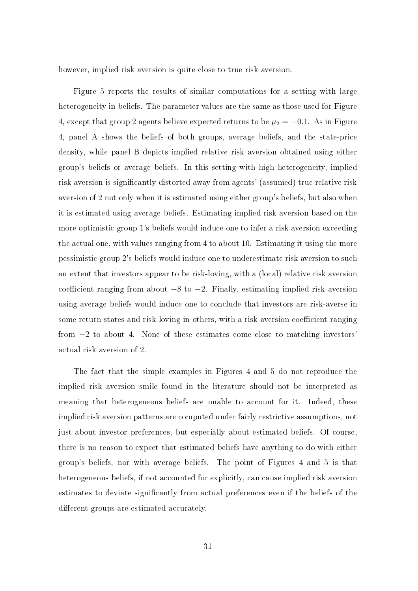however, implied risk aversion is quite close to true risk aversion.

Figure 5 reports the results of similar computations for a setting with large heterogeneity in beliefs. The parameter values are the same as those used for Figure 4, except that group 2 agents believe expected returns to be  $\mu_2 = -0.1$ . As in Figure 4, panel A shows the beliefs of both groups, average beliefs, and the state-price density, while panel B depicts implied relative risk aversion obtained using either group's beliefs or average beliefs. In this setting with high heterogeneity, implied risk aversion is signicantly distorted away from agents' (assumed) true relative risk aversion of 2 not only when it is estimated using either group's beliefs, but also when it is estimated using average beliefs. Estimating implied risk aversion based on the more optimistic group 1's beliefs would induce one to infer a risk aversion exceeding the actual one, with values ranging from 4 to about 10. Estimating it using the more pessimistic group 2's beliefs would induce one to underestimate risk aversion to such an extent that investors appear to be risk-loving, with a (local) relative risk aversion coefficient ranging from about  $-8$  to  $-2$ . Finally, estimating implied risk aversion using average beliefs would induce one to conclude that investors are risk-averse in some return states and risk-loving in others, with a risk aversion coefficient ranging from  $-2$  to about 4. None of these estimates come close to matching investors actual risk aversion of 2.

The fact that the simple examples in Figures 4 and 5 do not reproduce the implied risk aversion smile found in the literature should not be interpreted as meaning that heterogeneous beliefs are unable to account for it. Indeed, these implied risk aversion patterns are computed under fairly restrictive assumptions, not just about investor preferences, but especially about estimated beliefs. Of course, there is no reason to expect that estimated beliefs have anything to do with either group's beliefs, nor with average beliefs. The point of Figures 4 and 5 is that heterogeneous beliefs, if not accounted for explicitly, can cause implied risk aversion estimates to deviate signicantly from actual preferences even if the beliefs of the different groups are estimated accurately.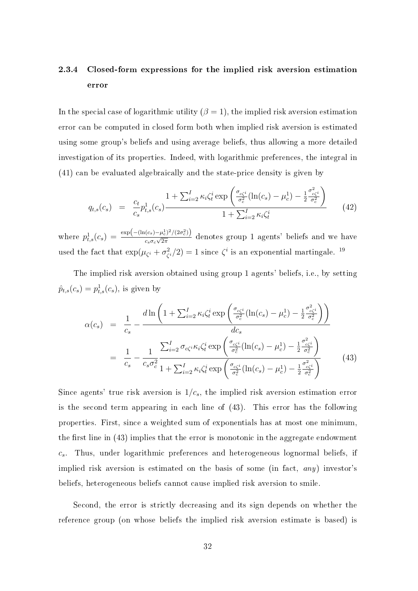## 2.3.4 Closed-form expressions for the implied risk aversion estimation error

In the special case of logarithmic utility  $(\beta = 1)$ , the implied risk aversion estimation error can be computed in closed form both when implied risk aversion is estimated using some group's beliefs and using average beliefs, thus allowing a more detailed investigation of its properties. Indeed, with logarithmic preferences, the integral in (41) can be evaluated algebraically and the state-price density is given by

$$
q_{t,s}(c_s) = \frac{c_t}{c_s} p_{t,s}^1(c_s) \frac{1 + \sum_{i=2}^I \kappa_i \zeta_t^i \exp\left(\frac{\sigma_{c\zeta_t^i}}{\sigma_c^2} (\ln(c_s) - \mu_c^1) - \frac{1}{2} \frac{\sigma_{c\zeta_t^i}^2}{\sigma_c^2}\right)}{1 + \sum_{i=2}^I \kappa_i \zeta_t^i}
$$
(42)

where  $p_{t,s}^1(c_s) = \frac{\exp(-( \ln(c_s) - \mu_c^1)^2/(2\sigma_c^2))}{c_s \sigma_s \sqrt{2\pi}}$  $\frac{\cos \theta}{\cos \theta}$  denotes group 1 agents' beliefs and we have used the fact that  $\exp(\mu_{\zeta_i} + \sigma_{\zeta_i}^2)$  $\zeta^{2}(2) = 1$  since  $\zeta^{i}$  is an exponential martingale.<sup>19</sup>

The implied risk aversion obtained using group 1 agents' beliefs, i.e., by setting  $\hat{p}_{t,s}(c_s) = p_{t,s}^1(c_s)$ , is given by

$$
\alpha(c_s) = \frac{1}{c_s} - \frac{d \ln\left(1 + \sum_{i=2}^I \kappa_i \zeta_t^i \exp\left(\frac{\sigma_{c\zeta_i^i}}{\sigma_c^2} (\ln(c_s) - \mu_c^1) - \frac{1}{2} \frac{\sigma_{c\zeta_i^i}^2}{\sigma_c^2}\right)\right)}{dc_s}
$$
  

$$
= \frac{1}{c_s} - \frac{1}{c_s \sigma_c^2} \frac{\sum_{i=2}^I \sigma_{c\zeta_i^i} \kappa_i \zeta_t^i \exp\left(\frac{\sigma_{c\zeta_i^i}}{\sigma_c^2} (\ln(c_s) - \mu_c^1) - \frac{1}{2} \frac{\sigma_{c\zeta_i^i}^2}{\sigma_c^2}\right)}{1 + \sum_{i=2}^I \kappa_i \zeta_t^i \exp\left(\frac{\sigma_{c\zeta_i^i}}{\sigma_c^2} (\ln(c_s) - \mu_c^1) - \frac{1}{2} \frac{\sigma_{c\zeta_i^i}^2}{\sigma_c^2}\right)}
$$
(43)

Since agents' true risk aversion is  $1/c_s$ , the implied risk aversion estimation error is the second term appearing in each line of (43). This error has the following properties. First, since a weighted sum of exponentials has at most one minimum, the first line in  $(43)$  implies that the error is monotonic in the aggregate endowment  $c_s$ . Thus, under logarithmic preferences and heterogeneous lognormal beliefs, if implied risk aversion is estimated on the basis of some (in fact, any) investor's beliefs, heterogeneous beliefs cannot cause implied risk aversion to smile.

Second, the error is strictly decreasing and its sign depends on whether the reference group (on whose beliefs the implied risk aversion estimate is based) is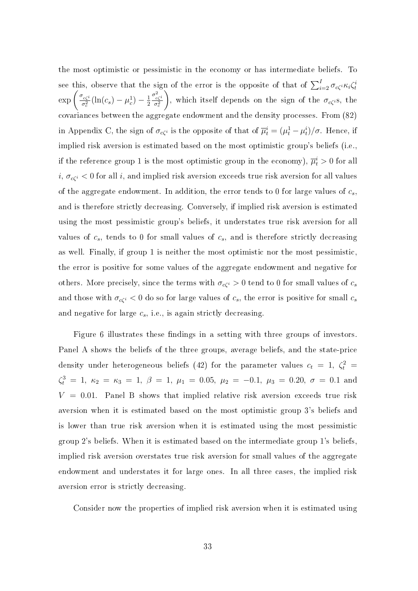the most optimistic or pessimistic in the economy or has intermediate beliefs. To see this, observe that the sign of the error is the opposite of that of  $\sum_{i=2}^{I} \sigma_{c\zeta^i} \kappa_i \zeta_t^i$ see this,<br>exp  $\left(\frac{\sigma_{c\zeta}i}{\sigma^2}\right)$  $\frac{f_{c\zeta^i}}{\sigma_c^2}(\ln(c_s)-\mu_c^1)-\frac{1}{2}$ 2  $\sigma_{c\zeta}^2$  $\left(\frac{c\zeta^2}{\sigma_c^2}\right)$ , which itself depends on the sign of the  $\sigma_{c\zeta}$ <sub>i</sub>s, the covariances between the aggregate endowment and the density processes. From (82) in Appendix C, the sign of  $\sigma_{c\zeta^i}$  is the opposite of that of  $\overline{\mu}_t^i = (\mu_t^1 - \mu_t^i)/\sigma$ . Hence, if implied risk aversion is estimated based on the most optimistic group's beliefs (i.e., if the reference group  $1$  is the most optimistic group in the economy),  $\overline{\mu}_t^i > 0$  for all  $i, \sigma_{c\zeta}$  < 0 for all i, and implied risk aversion exceeds true risk aversion for all values of the aggregate endowment. In addition, the error tends to 0 for large values of  $c_s$ , and is therefore strictly decreasing. Conversely, if implied risk aversion is estimated using the most pessimistic group's beliefs, it understates true risk aversion for all values of  $c_s$ , tends to 0 for small values of  $c_s$ , and is therefore strictly decreasing as well. Finally, if group 1 is neither the most optimistic nor the most pessimistic, the error is positive for some values of the aggregate endowment and negative for others. More precisely, since the terms with  $\sigma_{c\zeta}$  > 0 tend to 0 for small values of  $c_s$ and those with  $\sigma_{c\zeta}$  < 0 do so for large values of  $c_s$ , the error is positive for small  $c_s$ and negative for large  $c_s$ , i.e., is again strictly decreasing.

Figure 6 illustrates these findings in a setting with three groups of investors. Panel A shows the beliefs of the three groups, average beliefs, and the state-price density under heterogeneous beliefs (42) for the parameter values  $c_t = 1, \; \zeta_t^2 = 1$  $\zeta_t^3 = 1, \ \kappa_2 = \kappa_3 = 1, \ \beta = 1, \ \mu_1 = 0.05, \ \mu_2 = -0.1, \ \mu_3 = 0.20, \ \sigma = 0.1$  and  $V = 0.01$ . Panel B shows that implied relative risk aversion exceeds true risk aversion when it is estimated based on the most optimistic group 3's beliefs and is lower than true risk aversion when it is estimated using the most pessimistic group 2's beliefs. When it is estimated based on the intermediate group 1's beliefs, implied risk aversion overstates true risk aversion for small values of the aggregate endowment and understates it for large ones. In all three cases, the implied risk aversion error is strictly decreasing.

Consider now the properties of implied risk aversion when it is estimated using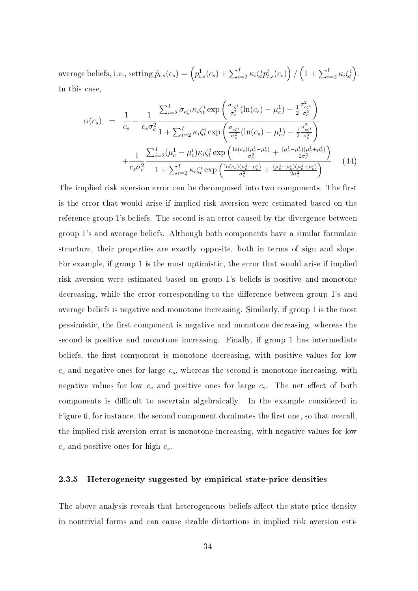$\text{average beliefs, i.e., setting } \hat{p}_{t,s}(c_s) = \left( p_{t,s}^1(c_s) + \sum_{i=2}^{I}\kappa_i\zeta_t^ip_{t,s}^i(c_s) \right)$ ´ /  $\left(1 + \sum_{i=2}^{I} \kappa_i \zeta_t^i\right)$ ´ . In this case,  $\mathbf{r}$ 

$$
\alpha(c_s) = \frac{1}{c_s} - \frac{1}{c_s \sigma_c^2} \frac{\sum_{i=2}^{I} \sigma_{c\zeta^i} \kappa_i \zeta_t^i \exp\left(\frac{\sigma_{c\zeta^i}}{\sigma_c^2} (\ln(c_s) - \mu_c^1) - \frac{1}{2} \frac{\sigma_{c\zeta^i}^2}{\sigma_c^2}\right)}{1 + \sum_{i=2}^{I} \kappa_i \zeta_t^i \exp\left(\frac{\sigma_{c\zeta^i}}{\sigma_c^2} (\ln(c_s) - \mu_c^1) - \frac{1}{2} \frac{\sigma_{c\zeta^i}^2}{\sigma_c^2}\right)} + \frac{1}{c_s \sigma_c^2} \frac{\sum_{i=2}^{I} (\mu_c^1 - \mu_c^i) \kappa_i \zeta_t^i \exp\left(\frac{\ln(c_s)(\mu_c^1 - \mu_c^i)}{\sigma_c^2} + \frac{(\mu_c^1 - \mu_c^i)(\mu_c^1 + \mu_c^i)}{2\sigma_c^2}\right)}{1 + \sum_{i=2}^{I} \kappa_i \zeta_t^i \exp\left(\frac{\ln(c_s)(\mu_c^1 - \mu_c^i)}{\sigma_c^2} + \frac{(\mu_c^1 - \mu_c^i)(\mu_c^1 + \mu_c^i)}{2\sigma_c^2}\right)} \tag{44}
$$

The implied risk aversion error can be decomposed into two components. The first is the error that would arise if implied risk aversion were estimated based on the reference group 1's beliefs. The second is an error caused by the divergence between group 1's and average beliefs. Although both components have a similar formulaic structure, their properties are exactly opposite, both in terms of sign and slope. For example, if group 1 is the most optimistic, the error that would arise if implied risk aversion were estimated based on group 1's beliefs is positive and monotone decreasing, while the error corresponding to the difference between group 1's and average beliefs is negative and monotone increasing. Similarly, if group 1 is the most pessimistic, the first component is negative and monotone decreasing, whereas the second is positive and monotone increasing. Finally, if group 1 has intermediate beliefs, the first component is monotone decreasing, with positive values for low  $c_s$  and negative ones for large  $c_s$ , whereas the second is monotone increasing, with negative values for low  $c_s$  and positive ones for large  $c_s$ . The net effect of both components is difficult to ascertain algebraically. In the example considered in Figure 6, for instance, the second component dominates the first one, so that overall, the implied risk aversion error is monotone increasing, with negative values for low  $c_s$  and positive ones for high  $c_s$ .

### 2.3.5 Heterogeneity suggested by empirical state-price densities

The above analysis reveals that heterogeneous beliefs affect the state-price density in nontrivial forms and can cause sizable distortions in implied risk aversion esti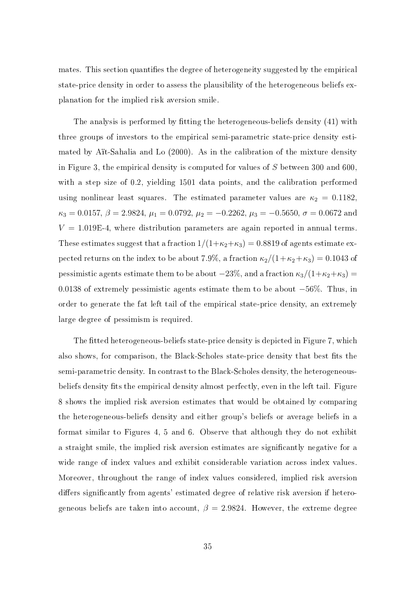mates. This section quantifies the degree of heterogeneity suggested by the empirical state-price density in order to assess the plausibility of the heterogeneous beliefs explanation for the implied risk aversion smile.

The analysis is performed by fitting the heterogeneous-beliefs density (41) with three groups of investors to the empirical semi-parametric state-price density estimated by Aït-Sahalia and Lo (2000). As in the calibration of the mixture density in Figure 3, the empirical density is computed for values of S between 300 and 600, with a step size of 0.2, yielding 1501 data points, and the calibration performed using nonlinear least squares. The estimated parameter values are  $\kappa_2 = 0.1182$ ,  $\kappa_3 = 0.0157,\, \beta = 2.9824,\, \mu_1 = 0.0792,\, \mu_2 = -0.2262,\, \mu_3 = -0.5650,\, \sigma = 0.0672$  and  $V = 1.019E-4$ , where distribution parameters are again reported in annual terms. These estimates suggest that a fraction  $1/(1+\kappa_2+\kappa_3) = 0.8819$  of agents estimate expected returns on the index to be about 7.9%, a fraction  $\kappa_2/(1+\kappa_2+\kappa_3) = 0.1043$  of pessimistic agents estimate them to be about  $-23\%$ , and a fraction  $\kappa_3/(1+\kappa_2+\kappa_3)$  = 0.0138 of extremely pessimistic agents estimate them to be about −56%. Thus, in order to generate the fat left tail of the empirical state-price density, an extremely large degree of pessimism is required.

The fitted heterogeneous-beliefs state-price density is depicted in Figure 7, which also shows, for comparison, the Black-Scholes state-price density that best fits the semi-parametric density. In contrast to the Black-Scholes density, the heterogeneousbeliefs density fits the empirical density almost perfectly, even in the left tail. Figure 8 shows the implied risk aversion estimates that would be obtained by comparing the heterogeneous-beliefs density and either group's beliefs or average beliefs in a format similar to Figures 4, 5 and 6. Observe that although they do not exhibit a straight smile, the implied risk aversion estimates are signicantly negative for a wide range of index values and exhibit considerable variation across index values. Moreover, throughout the range of index values considered, implied risk aversion differs significantly from agents' estimated degree of relative risk aversion if heterogeneous beliefs are taken into account,  $\beta = 2.9824$ . However, the extreme degree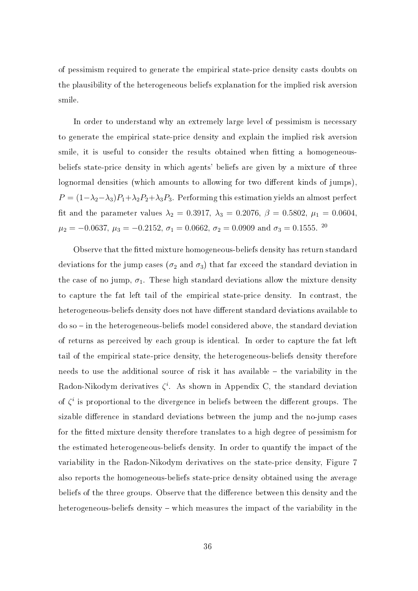of pessimism required to generate the empirical state-price density casts doubts on the plausibility of the heterogeneous beliefs explanation for the implied risk aversion smile.

In order to understand why an extremely large level of pessimism is necessary to generate the empirical state-price density and explain the implied risk aversion smile, it is useful to consider the results obtained when tting a homogeneousbeliefs state-price density in which agents' beliefs are given by a mixture of three lognormal densities (which amounts to allowing for two different kinds of jumps).  $P = (1-\lambda_2-\lambda_3)P_1+\lambda_2P_2+\lambda_3P_3$ . Performing this estimation yields an almost perfect fit and the parameter values  $\lambda_2 = 0.3917$ ,  $\lambda_3 = 0.2076$ ,  $\beta = 0.5802$ ,  $\mu_1 = 0.0604$ ,  $\mu_2 = -0.0637, \, \mu_3 = -0.2152, \, \sigma_1 = 0.0662, \, \sigma_2 = 0.0909 \,\, \mathrm{and} \,\, \sigma_3 = 0.1555.$   $^{20}$ 

Observe that the fitted mixture homogeneous-beliefs density has return standard deviations for the jump cases ( $\sigma_2$  and  $\sigma_3$ ) that far exceed the standard deviation in the case of no jump,  $\sigma_1$ . These high standard deviations allow the mixture density to capture the fat left tail of the empirical state-price density. In contrast, the heterogeneous-beliefs density does not have different standard deviations available to  $do$  so  $-$  in the heterogeneous-beliefs model considered above, the standard deviation of returns as perceived by each group is identical. In order to capture the fat left tail of the empirical state-price density, the heterogeneous-beliefs density therefore needs to use the additional source of risk it has available  $-$  the variability in the Radon-Nikodym derivatives  $\zeta^i$ . As shown in Appendix C, the standard deviation of  $\zeta^i$  is proportional to the divergence in beliefs between the different groups. The sizable difference in standard deviations between the jump and the no-jump cases for the tted mixture density therefore translates to a high degree of pessimism for the estimated heterogeneous-beliefs density. In order to quantify the impact of the variability in the Radon-Nikodym derivatives on the state-price density, Figure 7 also reports the homogeneous-beliefs state-price density obtained using the average beliefs of the three groups. Observe that the difference between this density and the heterogeneous-beliefs density – which measures the impact of the variability in the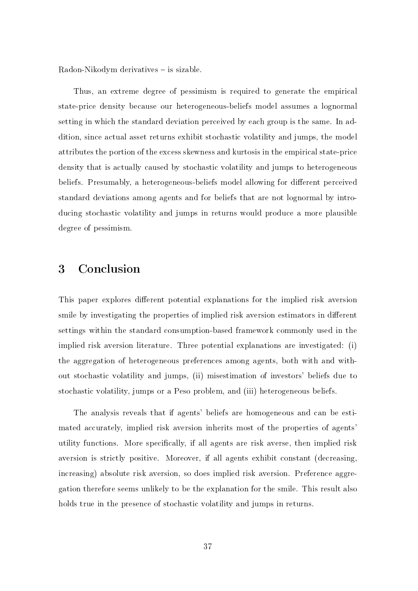Radon-Nikodym derivatives - is sizable.

Thus, an extreme degree of pessimism is required to generate the empirical state-price density because our heterogeneous-beliefs model assumes a lognormal setting in which the standard deviation perceived by each group is the same. In addition, since actual asset returns exhibit stochastic volatility and jumps, the model attributes the portion of the excess skewness and kurtosis in the empirical state-price density that is actually caused by stochastic volatility and jumps to heterogeneous beliefs. Presumably, a heterogeneous-beliefs model allowing for different perceived standard deviations among agents and for beliefs that are not lognormal by introducing stochastic volatility and jumps in returns would produce a more plausible degree of pessimism.

# 3 Conclusion

This paper explores different potential explanations for the implied risk aversion smile by investigating the properties of implied risk aversion estimators in different settings within the standard consumption-based framework commonly used in the implied risk aversion literature. Three potential explanations are investigated: (i) the aggregation of heterogeneous preferences among agents, both with and without stochastic volatility and jumps, (ii) misestimation of investors' beliefs due to stochastic volatility, jumps or a Peso problem, and (iii) heterogeneous beliefs.

The analysis reveals that if agents' beliefs are homogeneous and can be estimated accurately, implied risk aversion inherits most of the properties of agents' utility functions. More specifically, if all agents are risk averse, then implied risk aversion is strictly positive. Moreover, if all agents exhibit constant (decreasing, increasing) absolute risk aversion, so does implied risk aversion. Preference aggregation therefore seems unlikely to be the explanation for the smile. This result also holds true in the presence of stochastic volatility and jumps in returns.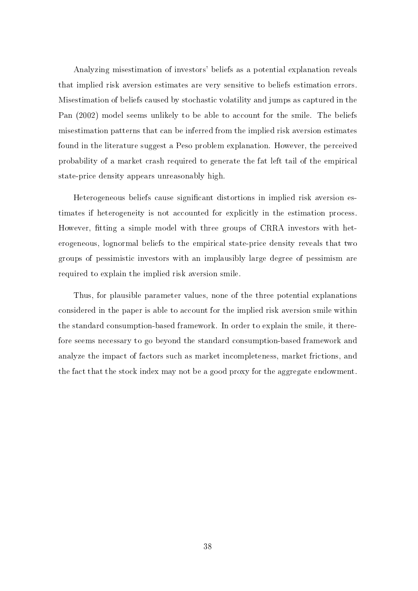Analyzing misestimation of investors' beliefs as a potential explanation reveals that implied risk aversion estimates are very sensitive to beliefs estimation errors. Misestimation of beliefs caused by stochastic volatility and jumps as captured in the Pan (2002) model seems unlikely to be able to account for the smile. The beliefs misestimation patterns that can be inferred from the implied risk aversion estimates found in the literature suggest a Peso problem explanation. However, the perceived probability of a market crash required to generate the fat left tail of the empirical state-price density appears unreasonably high.

Heterogeneous beliefs cause significant distortions in implied risk aversion estimates if heterogeneity is not accounted for explicitly in the estimation process. However, fitting a simple model with three groups of CRRA investors with heterogeneous, lognormal beliefs to the empirical state-price density reveals that two groups of pessimistic investors with an implausibly large degree of pessimism are required to explain the implied risk aversion smile.

Thus, for plausible parameter values, none of the three potential explanations considered in the paper is able to account for the implied risk aversion smile within the standard consumption-based framework. In order to explain the smile, it therefore seems necessary to go beyond the standard consumption-based framework and analyze the impact of factors such as market incompleteness, market frictions, and the fact that the stock index may not be a good proxy for the aggregate endowment.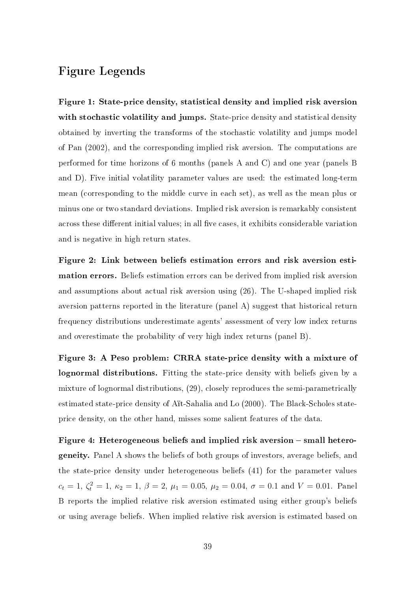# Figure Legends

Figure 1: State-price density, statistical density and implied risk aversion with stochastic volatility and jumps. State-price density and statistical density obtained by inverting the transforms of the stochastic volatility and jumps model of Pan (2002), and the corresponding implied risk aversion. The computations are performed for time horizons of 6 months (panels A and C) and one year (panels B and D). Five initial volatility parameter values are used: the estimated long-term mean (corresponding to the middle curve in each set), as well as the mean plus or minus one or two standard deviations. Implied risk aversion is remarkably consistent across these different initial values; in all five cases, it exhibits considerable variation and is negative in high return states.

Figure 2: Link between beliefs estimation errors and risk aversion estimation errors. Beliefs estimation errors can be derived from implied risk aversion and assumptions about actual risk aversion using (26). The U-shaped implied risk aversion patterns reported in the literature (panel A) suggest that historical return frequency distributions underestimate agents' assessment of very low index returns and overestimate the probability of very high index returns (panel B).

Figure 3: A Peso problem: CRRA state-price density with a mixture of lognormal distributions. Fitting the state-price density with beliefs given by a mixture of lognormal distributions, (29), closely reproduces the semi-parametrically estimated state-price density of Aït-Sahalia and Lo (2000). The Black-Scholes stateprice density, on the other hand, misses some salient features of the data.

Figure 4: Heterogeneous beliefs and implied risk aversion  $-$  small heterogeneity. Panel A shows the beliefs of both groups of investors, average beliefs, and the state-price density under heterogeneous beliefs (41) for the parameter values  $c_t = 1, \, \zeta_t^2 = 1, \, \kappa_2 = 1, \, \beta = 2, \, \mu_1 = 0.05, \, \mu_2 = 0.04, \, \sigma = 0.1$  and  $V = 0.01$ . Panel B reports the implied relative risk aversion estimated using either group's beliefs or using average beliefs. When implied relative risk aversion is estimated based on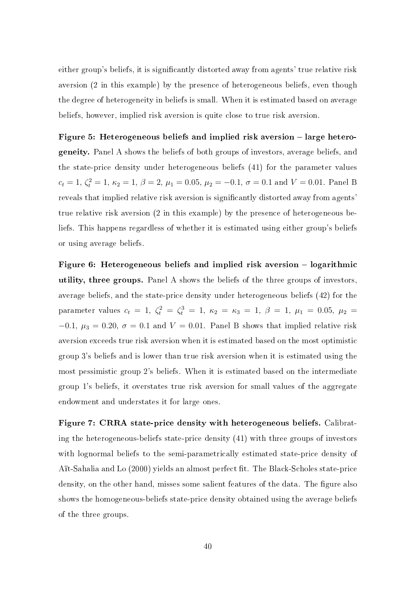either group's beliefs, it is significantly distorted away from agents' true relative risk aversion (2 in this example) by the presence of heterogeneous beliefs, even though the degree of heterogeneity in beliefs is small. When it is estimated based on average beliefs, however, implied risk aversion is quite close to true risk aversion.

Figure 5: Heterogeneous beliefs and implied risk aversion – large heterogeneity. Panel A shows the beliefs of both groups of investors, average beliefs, and the state-price density under heterogeneous beliefs (41) for the parameter values  $c_t = 1, \, \zeta_t^2 = 1, \, \kappa_2 = 1, \, \beta = 2, \, \mu_1 = 0.05, \, \mu_2 = -0.1, \, \sigma = 0.1$  and  $V = 0.01$ . Panel B reveals that implied relative risk aversion is significantly distorted away from agents' true relative risk aversion (2 in this example) by the presence of heterogeneous beliefs. This happens regardless of whether it is estimated using either group's beliefs or using average beliefs.

Figure 6: Heterogeneous beliefs and implied risk aversion  $-$  logarithmic utility, three groups. Panel A shows the beliefs of the three groups of investors, average beliefs, and the state-price density under heterogeneous beliefs (42) for the parameter values  $c_t = 1$ ,  $\zeta_t^2 = \zeta_t^3 = 1$ ,  $\kappa_2 = \kappa_3 = 1$ ,  $\beta = 1$ ,  $\mu_1 = 0.05$ ,  $\mu_2 =$  $-0.1, \mu_3 = 0.20, \sigma = 0.1$  and  $V = 0.01$ . Panel B shows that implied relative risk aversion exceeds true risk aversion when it is estimated based on the most optimistic group 3's beliefs and is lower than true risk aversion when it is estimated using the most pessimistic group 2's beliefs. When it is estimated based on the intermediate group 1's beliefs, it overstates true risk aversion for small values of the aggregate endowment and understates it for large ones.

Figure 7: CRRA state-price density with heterogeneous beliefs. Calibrating the heterogeneous-beliefs state-price density (41) with three groups of investors with lognormal beliefs to the semi-parametrically estimated state-price density of Aït-Sahalia and Lo (2000) yields an almost perfect fit. The Black-Scholes state-price density, on the other hand, misses some salient features of the data. The figure also shows the homogeneous-beliefs state-price density obtained using the average beliefs of the three groups.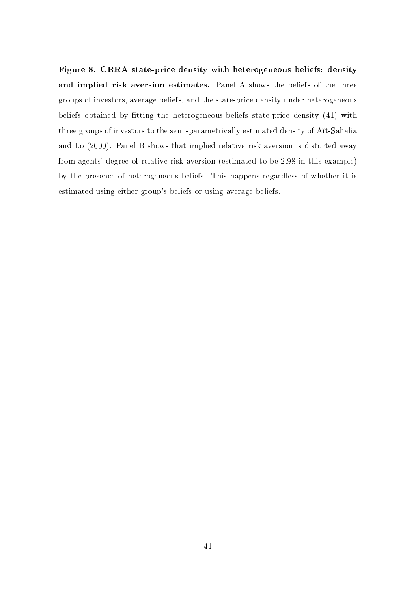Figure 8. CRRA state-price density with heterogeneous beliefs: density and implied risk aversion estimates. Panel A shows the beliefs of the three groups of investors, average beliefs, and the state-price density under heterogeneous beliefs obtained by tting the heterogeneous-beliefs state-price density (41) with three groups of investors to the semi-parametrically estimated density of Aït-Sahalia and Lo (2000). Panel B shows that implied relative risk aversion is distorted away from agents' degree of relative risk aversion (estimated to be 2.98 in this example) by the presence of heterogeneous beliefs. This happens regardless of whether it is estimated using either group's beliefs or using average beliefs.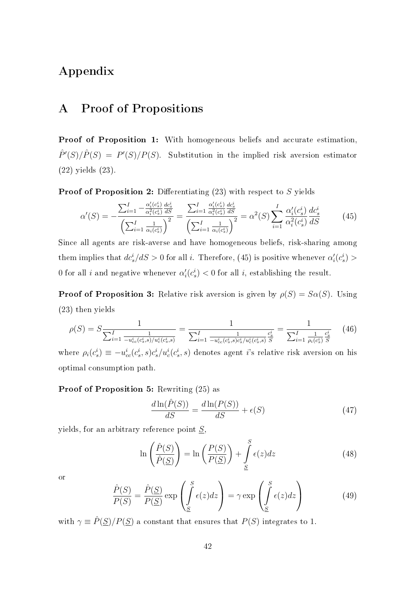# Appendix

# A Proof of Propositions

Proof of Proposition 1: With homogeneous beliefs and accurate estimation,  $\hat{P}'(S)/\hat{P}(S) = P'(S)/P(S)$ . Substitution in the implied risk aversion estimator (22) yields (23).

**Proof of Proposition 2:** Differentiating  $(23)$  with respect to S yields

$$
\alpha'(S) = -\frac{\sum_{i=1}^{I} -\frac{\alpha_i'(c_s^i)}{\alpha_i^2(c_s^i)} \frac{dc_s^i}{dS}}{\left(\sum_{i=1}^{I} \frac{1}{\alpha_i(c_s^i)}\right)^2} = \frac{\sum_{i=1}^{I} \frac{\alpha_i'(c_s^i)}{\alpha_i^2(c_s^i)} \frac{dc_s^i}{dS}}{\left(\sum_{i=1}^{I} \frac{1}{\alpha_i(c_s^i)}\right)^2} = \alpha^2(S) \sum_{i=1}^{I} \frac{\alpha_i'(c_s^i)}{\alpha_i^2(c_s^i)} \frac{dc_s^i}{dS}
$$
(45)

Since all agents are risk-averse and have homogeneous beliefs, risk-sharing among them implies that  $dc_s^i/dS > 0$  for all i. Therefore, (45) is positive whenever  $\alpha_i'(c_s^i) >$ 0 for all *i* and negative whenever  $\alpha_i'(c_s^i) < 0$  for all *i*, establishing the result.

**Proof of Proposition 3:** Relative risk aversion is given by  $\rho(S) = S\alpha(S)$ . Using (23) then yields

$$
\rho(S) = S \frac{1}{\sum_{i=1}^{I} \frac{1}{-u_{cc}^{i}(c_{s}^{i},s)/u_{c}^{i}(c_{s}^{i},s)}} = \frac{1}{\sum_{i=1}^{I} \frac{1}{-u_{cc}^{i}(c_{s}^{i},s)c_{s}^{i}/u_{c}^{i}(c_{s}^{i},s)} \frac{c_{s}^{i}}{S}} = \frac{1}{\sum_{i=1}^{I} \frac{1}{\rho_{i}(c_{s}^{i})} \frac{c_{s}^{i}}{S}} \tag{46}
$$

where  $\rho_i(c_s^i) \equiv -u_{cc}^i(c_s^i, s)c_s^i/u_c^i(c_s^i, s)$  denotes agent *i*'s relative risk aversion on his optimal consumption path.

### Proof of Proposition 5: Rewriting (25) as

$$
\frac{d\ln(\hat{P}(S))}{dS} = \frac{d\ln(P(S))}{dS} + \epsilon(S)
$$
\n(47)

yields, for an arbitrary reference point  $S$ ,

$$
\ln\left(\frac{\hat{P}(S)}{\hat{P}(\underline{S})}\right) = \ln\left(\frac{P(S)}{P(\underline{S})}\right) + \int_{\underline{S}}^{S} \epsilon(z)dz
$$
\n(48)

or

$$
\frac{\hat{P}(S)}{P(S)} = \frac{\hat{P}(\underline{S})}{P(\underline{S})} \exp\left(\int_{\underline{S}}^{S} \epsilon(z) dz\right) = \gamma \exp\left(\int_{\underline{S}}^{S} \epsilon(z) dz\right)
$$
(49)

with  $\gamma \equiv \hat{P}(\underline{S})/P(\underline{S})$  a constant that ensures that  $P(S)$  integrates to 1.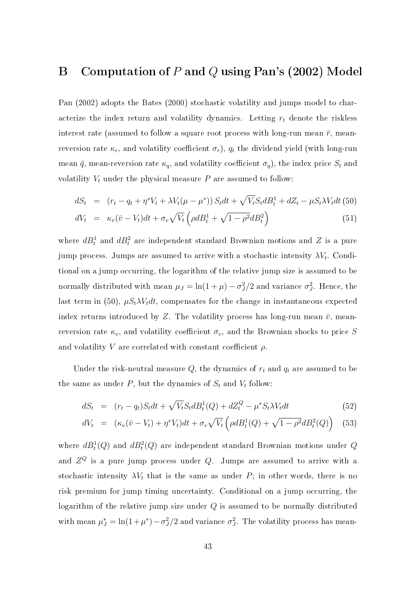# B Computation of P and Q using Pan's (2002) Model

Pan (2002) adopts the Bates (2000) stochastic volatility and jumps model to characterize the index return and volatility dynamics. Letting  $r_t$  denote the riskless interest rate (assumed to follow a square root process with long-run mean  $\bar{r}$ , meanreversion rate  $\kappa_r$ , and volatility coefficient  $\sigma_r$ ),  $q_t$  the dividend yield (with long-run mean  $\bar{q}$ , mean-reversion rate  $\kappa_q$ , and volatility coefficient  $\sigma_q$ ), the index price  $S_t$  and volatility  $V_t$  under the physical measure P are assumed to follow:

$$
dS_t = (r_t - q_t + \eta^s V_t + \lambda V_t(\mu - \mu^*)) S_t dt + \sqrt{V_t} S_t dB_t^1 + dZ_t - \mu S_t \lambda V_t dt
$$
(50)  

$$
dV_t = \kappa_v (\bar{v} - V_t) dt + \sigma_v \sqrt{V_t} \left(\rho dB_t^1 + \sqrt{1 - \rho^2} dB_t^2\right)
$$
(51)

where  $dB_t^1$  and  $dB_t^2$  are independent standard Brownian motions and Z is a pure jump process. Jumps are assumed to arrive with a stochastic intensity  $\lambda V_t$ . Conditional on a jump occurring, the logarithm of the relative jump size is assumed to be normally distributed with mean  $\mu_J = \ln(1 + \mu) - \sigma_J^2/2$  and variance  $\sigma_J^2$ . Hence, the last term in (50),  $\mu S_t \lambda V_t dt$ , compensates for the change in instantaneous expected index returns introduced by Z. The volatility process has long-run mean  $\bar{v}$ , meanreversion rate  $\kappa_v$ , and volatility coefficient  $\sigma_v$ , and the Brownian shocks to price S and volatility V are correlated with constant coefficient  $\rho$ .

Under the risk-neutral measure  $Q$ , the dynamics of  $r_t$  and  $q_t$  are assumed to be the same as under  $P$ , but the dynamics of  $S_t$  and  $V_t$  follow:

$$
dS_t = (r_t - q_t)S_t dt + \sqrt{V_t} S_t dB_t^1(Q) + dZ_t^Q - \mu^* S_t \lambda V_t dt
$$
\n(52)

$$
dV_t = (\kappa_v(\bar{v} - V_t) + \eta^v V_t)dt + \sigma_v \sqrt{V_t} \left(\rho d B_t^1(Q) + \sqrt{1 - \rho^2} dB_t^2(Q)\right) \tag{53}
$$

where  $dB_t^1(Q)$  and  $dB_t^2(Q)$  are independent standard Brownian motions under  $Q$ and  $Z^Q$  is a pure jump process under  $Q$ . Jumps are assumed to arrive with a stochastic intensity  $\lambda V_t$  that is the same as under P; in other words, there is no risk premium for jump timing uncertainty. Conditional on a jump occurring, the logarithm of the relative jump size under Q is assumed to be normally distributed with mean  $\mu_J^* = \ln(1 + \mu^*) - \sigma_J^2/2$  and variance  $\sigma_J^2$ . The volatility process has mean-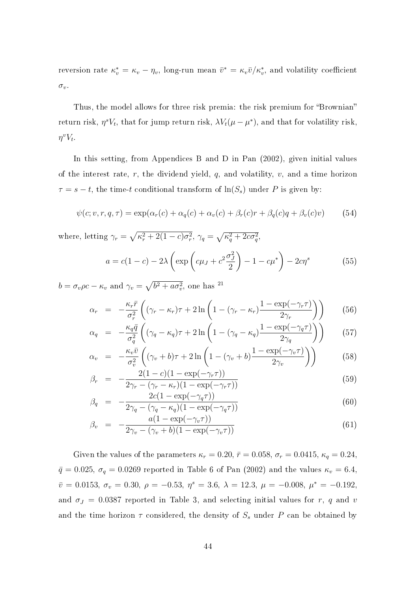reversion rate  $\kappa_v^* = \kappa_v - \eta_v$ , long-run mean  $\bar{v}^* = \kappa_v \bar{v}/\kappa_v^*$ , and volatility coefficient  $\sigma_v.$ 

Thus, the model allows for three risk premia: the risk premium for "Brownian" return risk,  $\eta^s V_t$ , that for jump return risk,  $\lambda V_t(\mu - \mu^*)$ , and that for volatility risk,  $\eta^v V_t$ .

In this setting, from Appendices B and D in Pan (2002), given initial values of the interest rate,  $r$ , the dividend yield,  $q$ , and volatility,  $v$ , and a time horizon  $\tau = s - t$ , the time-t conditional transform of  $\ln(S_s)$  under P is given by:

$$
\psi(c; v, r, q, \tau) = \exp(\alpha_r(c) + \alpha_q(c) + \alpha_v(c) + \beta_r(c)r + \beta_q(c)q + \beta_v(c)v)
$$
(54)

where, letting  $\gamma_r =$  $\overline{p}$  $\kappa_r^2 + 2(1-c)\sigma_r^2, \ \gamma_q =$  $\overline{p}$  $\overline{\kappa_q^2+2c\sigma_q^2},$ 

$$
a = c(1 - c) - 2\lambda \left( \exp\left(c\mu_J + c^2 \frac{\sigma_J^2}{2}\right) - 1 - c\mu^* \right) - 2c\eta^s \tag{55}
$$

 $b = \sigma_v \rho c - \kappa_v$  and  $\gamma_v =$  $\overline{b^2 + a\sigma_v^2}$ , one has <sup>21</sup>

$$
\alpha_r = -\frac{\kappa_r \bar{r}}{\sigma_r^2} \left( (\gamma_r - \kappa_r) \tau + 2 \ln \left( 1 - (\gamma_r - \kappa_r) \frac{1 - \exp(-\gamma_r \tau)}{2\gamma_r} \right) \right) \tag{56}
$$

$$
\alpha_q = -\frac{\kappa_q \bar{q}}{\sigma_q^2} \left( (\gamma_q - \kappa_q)\tau + 2\ln\left(1 - (\gamma_q - \kappa_q)\frac{1 - \exp(-\gamma_q \tau)}{2\gamma_q}\right) \right) \tag{57}
$$

$$
\alpha_v = -\frac{\kappa_v \bar{v}}{\sigma_v^2} \left( (\gamma_v + b)\tau + 2\ln\left(1 - (\gamma_v + b)\frac{1 - \exp(-\gamma_v \tau)}{2\gamma_v}\right) \right) \tag{58}
$$

$$
\beta_r = -\frac{2(1-c)(1-\exp(-\gamma_r \tau))}{2\gamma_r - (\gamma_r - \kappa_r)(1-\exp(-\gamma_r \tau))}
$$
\n(59)

$$
\beta_q = -\frac{2c(1 - \exp(-\gamma_q \tau))}{2\gamma_q - (\gamma_q - \kappa_q)(1 - \exp(-\gamma_q \tau))}
$$
\n(60)

$$
\beta_v = -\frac{a(1 - \exp(-\gamma_v \tau))}{2\gamma_v - (\gamma_v + b)(1 - \exp(-\gamma_v \tau))}
$$
\n(61)

Given the values of the parameters  $\kappa_r = 0.20$ ,  $\bar{r} = 0.058$ ,  $\sigma_r = 0.0415$ ,  $\kappa_q = 0.24$ ,  $\bar{q} = 0.025, \sigma_q = 0.0269$  reported in Table 6 of Pan (2002) and the values  $\kappa_v = 6.4$ ,  $\bar{v} = 0.0153, \sigma_v = 0.30, \rho = -0.53, \eta^s = 3.6, \lambda = 12.3, \mu = -0.008, \mu^* = -0.192,$ and  $\sigma_J = 0.0387$  reported in Table 3, and selecting initial values for r, q and v and the time horizon  $\tau$  considered, the density of  $S_s$  under P can be obtained by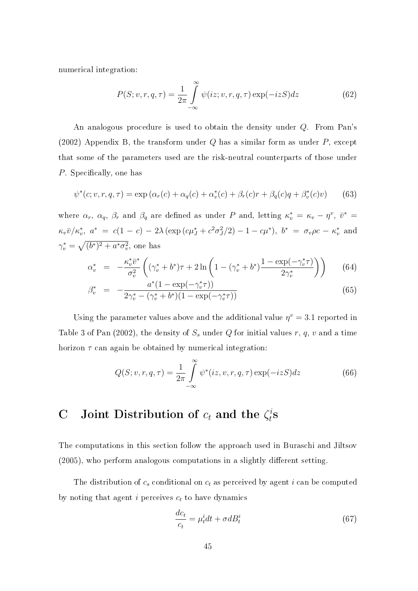numerical integration:

$$
P(S; v, r, q, \tau) = \frac{1}{2\pi} \int_{-\infty}^{\infty} \psi(iz; v, r, q, \tau) \exp(-izS) dz
$$
 (62)

An analogous procedure is used to obtain the density under Q. From Pan's (2002) Appendix B, the transform under  $Q$  has a similar form as under  $P$ , except that some of the parameters used are the risk-neutral counterparts of those under P. Specifically, one has

$$
\psi^*(c; v, r, q, \tau) = \exp(\alpha_r(c) + \alpha_q(c) + \alpha_v^*(c) + \beta_r(c)r + \beta_q(c)q + \beta_v^*(c)v)
$$
(63)

where  $\alpha_r$ ,  $\alpha_q$ ,  $\beta_r$  and  $\beta_q$  are defined as under P and, letting  $\kappa_v^* = \kappa_v - \eta^v$ ,  $\bar{v}^* =$  $\kappa_v \bar{v}/\kappa_v^*$ ,  $a^* = c(1 - c) - 2\lambda \left(\exp\left(c\mu_J^* + c^2\sigma_J^2/2\right) - 1 - c\mu^*\right)$ ,  $b^* = \sigma_v \rho c - \kappa_v^*$  and  $\gamma_v^* =$  $\ddot{\phantom{a}}$  $(b^*)^2 + a^* \sigma_v^2$ , one has

$$
\alpha_v^* = -\frac{\kappa_v^* \bar{v}^*}{\sigma_v^2} \left( (\gamma_v^* + b^*) \tau + 2 \ln \left( 1 - (\gamma_v^* + b^*) \frac{1 - \exp(-\gamma_v^* \tau)}{2\gamma_v^*} \right) \right) \tag{64}
$$

$$
\beta_v^* = -\frac{a^*(1 - \exp(-\gamma_v^*\tau))}{2\gamma_v^* - (\gamma_v^* + b^*)(1 - \exp(-\gamma_v^*\tau))}
$$
\n(65)

Using the parameter values above and the additional value  $\eta^v = 3.1$  reported in Table 3 of Pan (2002), the density of  $S<sub>s</sub>$  under Q for initial values r, q, v and a time horizon  $\tau$  can again be obtained by numerical integration:

$$
Q(S; v, r, q, \tau) = \frac{1}{2\pi} \int_{-\infty}^{\infty} \psi^*(iz, v, r, q, \tau) \exp(-izS) dz
$$
 (66)

#### C Joint Distribution of  $c_t$  and the  $\zeta_t^i$  $\frac{i}{t}$ S

The computations in this section follow the approach used in Buraschi and Jiltsov  $(2005)$ , who perform analogous computations in a slightly different setting.

The distribution of  $c_s$  conditional on  $c_t$  as perceived by agent i can be computed by noting that agent  $i$  perceives  $c_t$  to have dynamics

$$
\frac{dc_t}{c_t} = \mu_t^i dt + \sigma dB_t^i \tag{67}
$$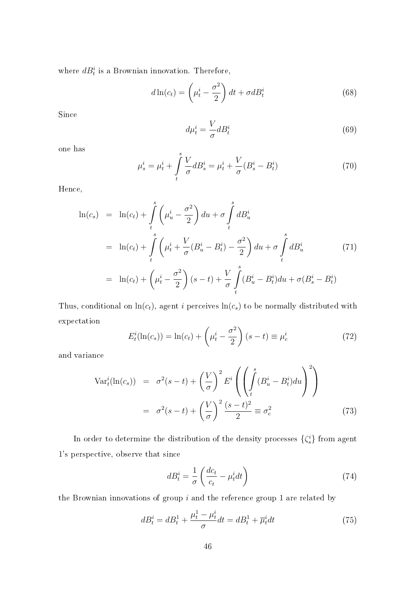where  $dB_t^i$  is a Brownian innovation. Therefore,

$$
d\ln(c_t) = \left(\mu_t^i - \frac{\sigma^2}{2}\right)dt + \sigma dB_t^i
$$
\n(68)

Since

$$
d\mu_t^i = \frac{V}{\sigma} dB_t^i \tag{69}
$$

one has

$$
\mu_s^i = \mu_t^i + \int_t^s \frac{V}{\sigma} d B_s^i = \mu_t^i + \frac{V}{\sigma} (B_s^i - B_t^i)
$$
\n(70)

Hence,

$$
\ln(c_s) = \ln(c_t) + \int_t^s \left(\mu_u^i - \frac{\sigma^2}{2}\right) du + \sigma \int_t^s dB_u^i
$$
  
\n
$$
= \ln(c_t) + \int_t^s \left(\mu_t^i + \frac{V}{\sigma}(B_u^i - B_t^i) - \frac{\sigma^2}{2}\right) du + \sigma \int_t^s dB_u^i
$$
(71)  
\n
$$
= \ln(c_t) + \left(\mu_t^i - \frac{\sigma^2}{2}\right)(s - t) + \frac{V}{\sigma} \int_t^s (B_u^i - B_t^i) du + \sigma(B_s^i - B_t^i)
$$

Thus, conditional on  $ln(c_t)$ , agent *i* perceives  $ln(c_s)$  to be normally distributed with expectation  $\mathbf{r}$ 

$$
E_t^i(\ln(c_s)) = \ln(c_t) + \left(\mu_t^i - \frac{\sigma^2}{2}\right)(s - t) \equiv \mu_c^i
$$
 (72)

and variance

$$
\operatorname{Var}_{t}^{i}(\ln(c_{s})) = \sigma^{2}(s-t) + \left(\frac{V}{\sigma}\right)^{2} E^{i} \left(\left(\int_{t}^{s} (B_{u}^{i} - B_{t}^{i}) du\right)^{2}\right)
$$

$$
= \sigma^{2}(s-t) + \left(\frac{V}{\sigma}\right)^{2} \frac{(s-t)^{2}}{2} \equiv \sigma_{c}^{2} \tag{73}
$$

In order to determine the distribution of the density processes  $\{\zeta^i_s\}$  from agent 1's perspective, observe that since

$$
dB_t^i = \frac{1}{\sigma} \left( \frac{dc_t}{c_t} - \mu_t^i dt \right) \tag{74}
$$

the Brownian innovations of group  $i$  and the reference group 1 are related by

$$
dB_t^i = dB_t^1 + \frac{\mu_t^1 - \mu_t^i}{\sigma} dt = dB_t^1 + \overline{\mu}_t^i dt
$$
\n(75)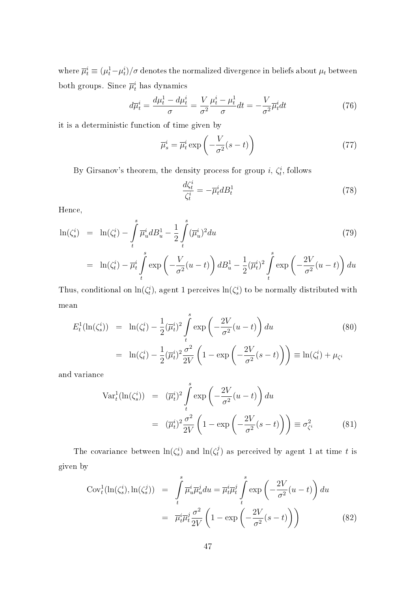where  $\overline{\mu}_t^i \equiv (\mu_t^1 \!-\! \mu_t^i)/\sigma$  denotes the normalized divergence in beliefs about  $\mu_t$  between both groups. Since  $\overline{\mu}_t^i$  has dynamics

$$
d\overline{\mu}_t^i = \frac{d\mu_t^1 - d\mu_t^i}{\sigma} = \frac{V}{\sigma^2} \frac{\mu_t^i - \mu_t^1}{\sigma} dt = -\frac{V}{\sigma^2} \overline{\mu}_t^i dt \tag{76}
$$

it is a deterministic function of time given by

$$
\overline{\mu}_s^i = \overline{\mu}_t^i \exp\left(-\frac{V}{\sigma^2}(s-t)\right) \tag{77}
$$

By Girsanov's theorem, the density process for group  $i, \zeta_t^i$ , follows

$$
\frac{d\zeta_t^i}{\zeta_t^i} = -\overline{\mu}_t^i dB_t^1\tag{78}
$$

Hence,

$$
\ln(\zeta_s^i) = \ln(\zeta_t^i) - \int_t^s \overline{\mu}_u^i dB_u^1 - \frac{1}{2} \int_t^s (\overline{\mu}_u^i)^2 du
$$
\n
$$
= \ln(\zeta_t^i) - \overline{\mu}_t^i \int_t^s \exp\left(-\frac{V}{\sigma^2}(u-t)\right) dB_u^1 - \frac{1}{2}(\overline{\mu}_t^i)^2 \int_t^s \exp\left(-\frac{2V}{\sigma^2}(u-t)\right) du
$$
\n(79)

Thus, conditional on  $\ln(\zeta_t^i)$ , agent 1 perceives  $\ln(\zeta_s^i)$  to be normally distributed with mean

$$
E_t^1(\ln(\zeta_s^i)) = \ln(\zeta_t^i) - \frac{1}{2}(\overline{\mu}_t^i)^2 \int_t^s \exp\left(-\frac{2V}{\sigma^2}(u-t)\right) du \qquad (80)
$$
  
=  $\ln(\zeta_t^i) - \frac{1}{2}(\overline{\mu}_t^i)^2 \frac{\sigma^2}{2V} \left(1 - \exp\left(-\frac{2V}{\sigma^2}(s-t)\right)\right) \equiv \ln(\zeta_t^i) + \mu_{\zeta^i}$ 

and variance

$$
\operatorname{Var}_{t}^{1}(\ln(\zeta_{s}^{i})) = (\overline{\mu}_{t}^{i})^{2} \int_{t}^{s} \exp\left(-\frac{2V}{\sigma^{2}}(u-t)\right) du
$$

$$
= (\overline{\mu}_{t}^{i})^{2} \frac{\sigma^{2}}{2V} \left(1 - \exp\left(-\frac{2V}{\sigma^{2}}(s-t)\right)\right) \equiv \sigma_{\zeta^{i}}^{2}
$$
(81)

The covariance between  $\ln(\zeta_s^i)$  and  $\ln(\zeta_t^j)$  $t<sub>t</sub>$ ) as perceived by agent 1 at time t is given by

$$
Cov_t^1(\ln(\zeta_s^i), \ln(\zeta_s^j)) = \int_t^s \overline{\mu}_u^i \overline{\mu}_u^j du = \overline{\mu}_t^i \overline{\mu}_t^j \int_t^s \exp\left(-\frac{2V}{\sigma^2}(u-t)\right) du
$$
  

$$
= \overline{\mu}_t^i \overline{\mu}_t^j \frac{\sigma^2}{2V} \left(1 - \exp\left(-\frac{2V}{\sigma^2}(s-t)\right)\right)
$$
(82)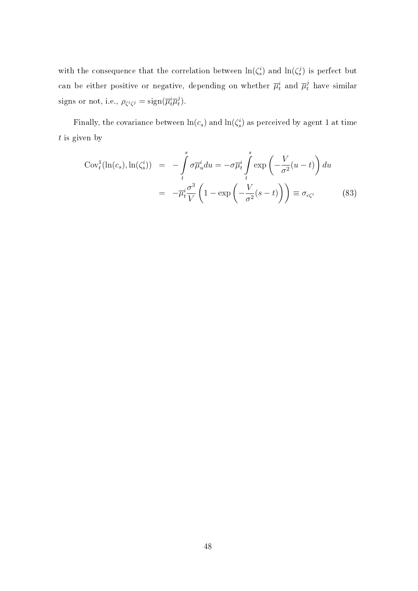with the consequence that the correlation between  $\ln(\zeta_s^i)$  and  $\ln(\zeta_s^j)$  is perfect but can be either positive or negative, depending on whether  $\overline{\mu}_t^i$  and  $\overline{\mu}_t^j$  have similar signs or not, i.e.,  $\rho_{\zeta^i\zeta^j} = \text{sign}(\overline{\mu}_t^i \overline{\mu}_t^j)$  $_{t}^{j}).$ 

Finally, the covariance between  $ln(c_s)$  and  $ln(\zeta_s^i)$  as perceived by agent 1 at time  $t$  is given by

$$
Cov_t^1(\ln(c_s), \ln(\zeta_s^i)) = -\int_t^s \sigma \overline{\mu}_u^i du = -\sigma \overline{\mu}_t^i \int_t^s \exp\left(-\frac{V}{\sigma^2}(u-t)\right) du
$$
  

$$
= -\overline{\mu}_t^i \frac{\sigma^3}{V} \left(1 - \exp\left(-\frac{V}{\sigma^2}(s-t)\right)\right) \equiv \sigma_{c\zeta^i}
$$
(83)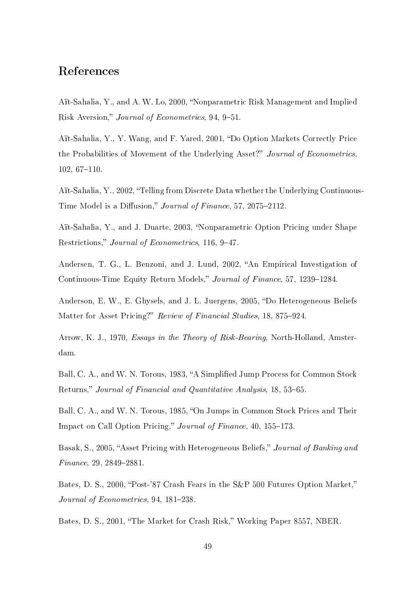# References

Aït-Sahalia, Y., and A. W. Lo, 2000, Nonparametric Risk Management and Implied Risk Aversion," Journal of Econometrics, 94, 9-51.

Aït-Sahalia, Y., Y. Wang, and F. Yared, 2001, "Do Option Markets Correctly Price the Probabilities of Movement of the Underlying Asset?" Journal of Econometrics,  $102, 67-110.$ 

Aït-Sahalia, Y., 2002, "Telling from Discrete Data whether the Underlying Continuous-Time Model is a Diffusion," Journal of Finance, 57, 2075-2112.

Aït-Sahalia, Y., and J. Duarte, 2003, "Nonparametric Option Pricing under Shape Restrictions," Journal of Econometrics, 116, 9-47.

Andersen, T. G., L. Benzoni, and J. Lund, 2002, "An Empirical Investigation of Continuous-Time Equity Return Models," Journal of Finance, 57, 1239–1284.

Anderson, E. W., E. Ghysels, and J. L. Juergens, 2005, "Do Heterogeneous Beliefs Matter for Asset Pricing?" Review of Financial Studies, 18, 875–924.

Arrow, K. J., 1970, Essays in the Theory of Risk-Bearing, North-Holland, Amsterdam.

Ball, C. A., and W. N. Torous, 1983, "A Simplified Jump Process for Common Stock Returns," Journal of Financial and Quantitative Analysis, 18, 53–65.

Ball, C. A., and W. N. Torous, 1985, "On Jumps in Common Stock Prices and Their Impact on Call Option Pricing," Journal of Finance, 40, 155–173.

Basak, S., 2005, "Asset Pricing with Heterogeneous Beliefs," Journal of Banking and  $Finance, 29, 2849-2881.$ 

Bates, D. S., 2000, "Post-'87 Crash Fears in the S&P 500 Futures Option Market," Journal of Econometrics, 94,  $181-238$ .

Bates, D. S., 2001, "The Market for Crash Risk," Working Paper 8557, NBER.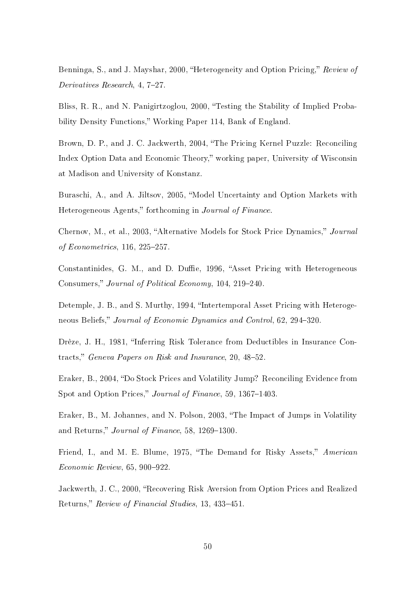Benninga, S., and J. Mayshar, 2000, "Heterogeneity and Option Pricing," Review of Derivatives Research, 4, 7-27.

Bliss, R. R., and N. Panigirtzoglou, 2000, Testing the Stability of Implied Probability Density Functions," Working Paper 114, Bank of England.

Brown, D. P., and J. C. Jackwerth, 2004, "The Pricing Kernel Puzzle: Reconciling Index Option Data and Economic Theory," working paper, University of Wisconsin at Madison and University of Konstanz.

Buraschi, A., and A. Jiltsov, 2005, Model Uncertainty and Option Markets with Heterogeneous Agents," forthcoming in Journal of Finance.

Chernov, M., et al., 2003, "Alternative Models for Stock Price Dynamics," Journal of Econometrics,  $116, 225-257$ .

Constantinides, G. M., and D. Duffie, 1996, "Asset Pricing with Heterogeneous Consumers," Journal of Political Economy, 104, 219–240.

Detemple, J. B., and S. Murthy, 1994, "Intertemporal Asset Pricing with Heterogeneous Beliefs," Journal of Economic Dynamics and Control, 62, 294–320.

Drèze, J. H., 1981, "Inferring Risk Tolerance from Deductibles in Insurance Contracts," Geneva Papers on Risk and Insurance, 20, 48-52.

Eraker, B., 2004, "Do Stock Prices and Volatility Jump? Reconciling Evidence from Spot and Option Prices," Journal of Finance, 59, 1367-1403.

Eraker, B., M. Johannes, and N. Polson, 2003, The Impact of Jumps in Volatility and Returns," Journal of Finance, 58, 1269–1300.

Friend, I., and M. E. Blume, 1975, "The Demand for Risky Assets," American  $Economic$  Review, 65, 900-922.

Jackwerth, J. C., 2000, "Recovering Risk Aversion from Option Prices and Realized Returns," Review of Financial Studies, 13, 433-451.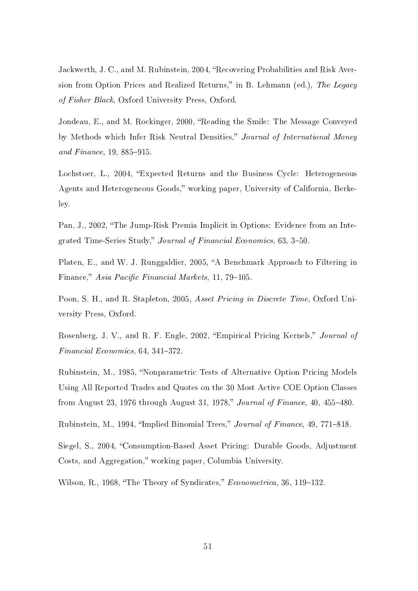Jackwerth, J. C., and M. Rubinstein, 2004, "Recovering Probabilities and Risk Aversion from Option Prices and Realized Returns," in B. Lehmann (ed.), The Legacy of Fisher Black, Oxford University Press, Oxford.

Jondeau, E., and M. Rockinger, 2000, "Reading the Smile: The Message Conveyed by Methods which Infer Risk Neutral Densities," Journal of International Money and Finance,  $19, 885 - 915$ .

Lochstoer, L., 2004, "Expected Returns and the Business Cycle: Heterogeneous Agents and Heterogeneous Goods," working paper, University of California, Berkeley.

Pan, J., 2002, "The Jump-Risk Premia Implicit in Options: Evidence from an Integrated Time-Series Study," Journal of Financial Economics, 63, 3-50.

Platen, E., and W. J. Runggaldier, 2005, "A Benchmark Approach to Filtering in Finance," Asia Pacific Financial Markets, 11, 79-105.

Poon, S. H., and R. Stapleton, 2005, Asset Pricing in Discrete Time, Oxford University Press, Oxford.

Rosenberg, J. V., and R. F. Engle, 2002, "Empirical Pricing Kernels," Journal of Financial Economics, 64, 341-372.

Rubinstein, M., 1985, "Nonparametric Tests of Alternative Option Pricing Models Using All Reported Trades and Quotes on the 30 Most Active COE Option Classes from August 23, 1976 through August 31, 1978," Journal of Finance, 40, 455-480.

Rubinstein, M., 1994, "Implied Binomial Trees," Journal of Finance, 49, 771-818.

Siegel, S., 2004, "Consumption-Based Asset Pricing: Durable Goods, Adjustment Costs, and Aggregation," working paper, Columbia University.

Wilson, R., 1968, "The Theory of Syndicates," Econometrica, 36, 119–132.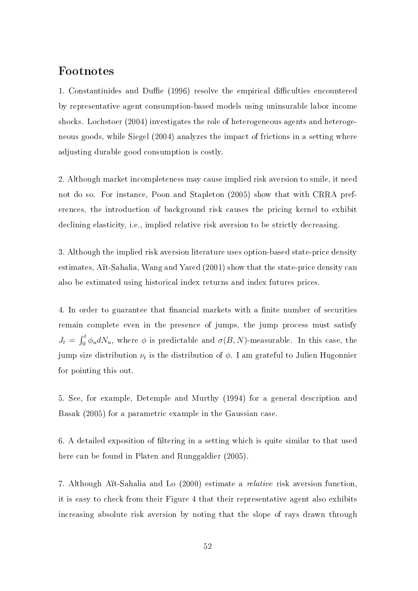# Footnotes

1. Constantinides and Duffie (1996) resolve the empirical difficulties encountered by representative agent consumption-based models using uninsurable labor income shocks. Lochstoer (2004) investigates the role of heterogeneous agents and heterogeneous goods, while Siegel (2004) analyzes the impact of frictions in a setting where adjusting durable good consumption is costly.

2. Although market incompleteness may cause implied risk aversion to smile, it need not do so. For instance, Poon and Stapleton (2005) show that with CRRA preferences, the introduction of background risk causes the pricing kernel to exhibit declining elasticity, i.e., implied relative risk aversion to be strictly decreasing.

3. Although the implied risk aversion literature uses option-based state-price density estimates, Aït-Sahalia, Wang and Yared (2001) show that the state-price density can also be estimated using historical index returns and index futures prices.

4. In order to guarantee that financial markets with a finite number of securities remain complete even in the presence of jumps, the jump process must satisfy  $J_t =$  $\int_0^t$  $\sigma_0^{\tau}$   $\phi_u dN_u$ , where  $\phi$  is predictable and  $\sigma(B, N)$ -measurable. In this case, the jump size distribution  $\nu_t$  is the distribution of  $\phi$ . I am grateful to Julien Hugonnier for pointing this out.

5. See, for example, Detemple and Murthy (1994) for a general description and Basak (2005) for a parametric example in the Gaussian case.

6. A detailed exposition of filtering in a setting which is quite similar to that used here can be found in Platen and Runggaldier (2005).

7. Although Aït-Sahalia and Lo (2000) estimate a relative risk aversion function, it is easy to check from their Figure 4 that their representative agent also exhibits increasing absolute risk aversion by noting that the slope of rays drawn through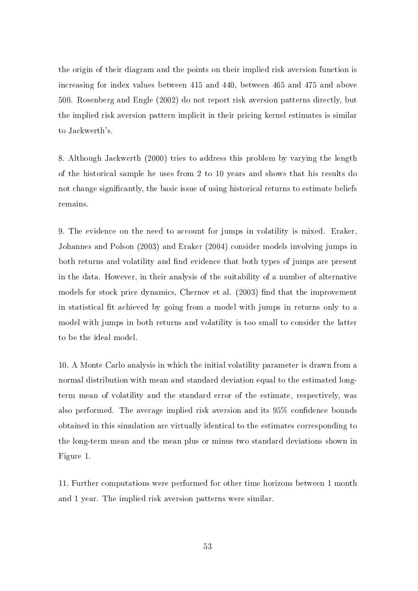the origin of their diagram and the points on their implied risk aversion function is increasing for index values between 415 and 440, between 465 and 475 and above 500. Rosenberg and Engle (2002) do not report risk aversion patterns directly, but the implied risk aversion pattern implicit in their pricing kernel estimates is similar to Jackwerth's.

8. Although Jackwerth (2000) tries to address this problem by varying the length of the historical sample he uses from 2 to 10 years and shows that his results do not change significantly, the basic issue of using historical returns to estimate beliefs remains.

9. The evidence on the need to account for jumps in volatility is mixed. Eraker, Johannes and Polson (2003) and Eraker (2004) consider models involving jumps in both returns and volatility and find evidence that both types of jumps are present in the data. However, in their analysis of the suitability of a number of alternative models for stock price dynamics, Chernov et al. (2003) find that the improvement in statistical fit achieved by going from a model with jumps in returns only to a model with jumps in both returns and volatility is too small to consider the latter to be the ideal model.

10. A Monte Carlo analysis in which the initial volatility parameter is drawn from a normal distribution with mean and standard deviation equal to the estimated longterm mean of volatility and the standard error of the estimate, respectively, was also performed. The average implied risk aversion and its 95% confidence bounds obtained in this simulation are virtually identical to the estimates corresponding to the long-term mean and the mean plus or minus two standard deviations shown in Figure 1.

11. Further computations were performed for other time horizons between 1 month and 1 year. The implied risk aversion patterns were similar.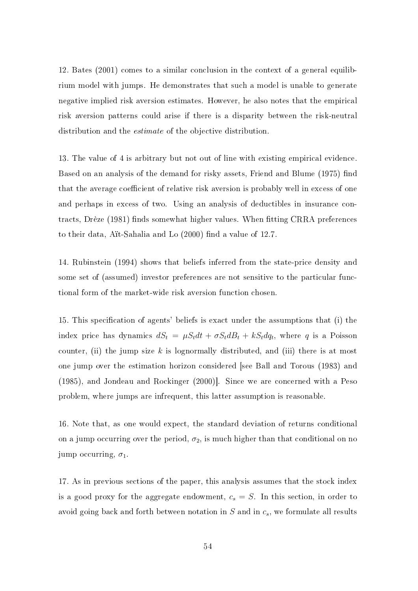12. Bates (2001) comes to a similar conclusion in the context of a general equilibrium model with jumps. He demonstrates that such a model is unable to generate negative implied risk aversion estimates. However, he also notes that the empirical risk aversion patterns could arise if there is a disparity between the risk-neutral distribution and the estimate of the objective distribution.

13. The value of 4 is arbitrary but not out of line with existing empirical evidence. Based on an analysis of the demand for risky assets, Friend and Blume (1975) find that the average coefficient of relative risk aversion is probably well in excess of one and perhaps in excess of two. Using an analysis of deductibles in insurance contracts, Drèze (1981) finds somewhat higher values. When fitting CRRA preferences to their data, Aït-Sahalia and Lo  $(2000)$  find a value of 12.7.

14. Rubinstein (1994) shows that beliefs inferred from the state-price density and some set of (assumed) investor preferences are not sensitive to the particular functional form of the market-wide risk aversion function chosen.

15. This specification of agents' beliefs is exact under the assumptions that (i) the index price has dynamics  $dS_t = \mu S_t dt + \sigma S_t dB_t + kS_t dq_t$ , where q is a Poisson counter, (ii) the jump size  $k$  is lognormally distributed, and (iii) there is at most one jump over the estimation horizon considered [see Ball and Torous (1983) and (1985), and Jondeau and Rockinger (2000)]. Since we are concerned with a Peso problem, where jumps are infrequent, this latter assumption is reasonable.

16. Note that, as one would expect, the standard deviation of returns conditional on a jump occurring over the period,  $\sigma_2$ , is much higher than that conditional on no jump occurring,  $\sigma_1$ .

17. As in previous sections of the paper, this analysis assumes that the stock index is a good proxy for the aggregate endowment,  $c_s = S$ . In this section, in order to avoid going back and forth between notation in  $S$  and in  $c_s$ , we formulate all results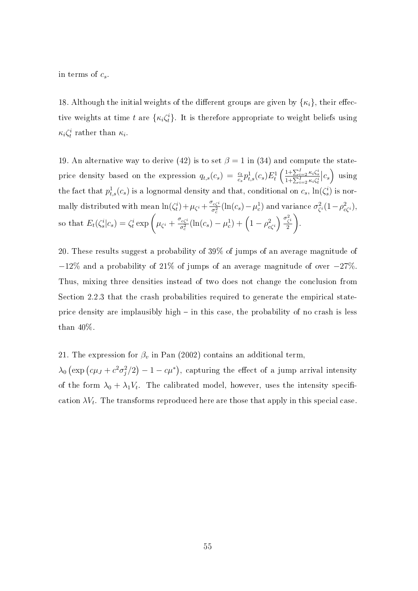in terms of  $c_s$ .

18. Although the initial weights of the different groups are given by  $\{\kappa_i\}$ , their effective weights at time t are  $\{\kappa_i \zeta_t^i\}$ . It is therefore appropriate to weight beliefs using  $\kappa_i \zeta_t^i$  rather than  $\kappa_i$ .

19. An alternative way to derive (42) is to set  $\beta = 1$  in (34) and compute the stateprice density based on the expression  $q_{t,s}(c_s) = \frac{c_t}{c_s} p_{t,s}^1(c_s) E_t^1$  $\left( \frac{1+\sum_{i=2}^{I}\kappa_{i}\zeta_{s}^{i}}{1+\sum_{i=2}^{I}\kappa_{i}\zeta_{t}^{i}} \right)$  $\vert c_s$ ´ using the fact that  $p_{t,s}^1(c_s)$  is a lognormal density and that, conditional on  $c_s$ ,  $\ln(\zeta_s^i)$  is normally distributed with mean  $\ln(\zeta_t^i) + \mu_{\zeta^i} + \frac{\sigma_{c\zeta^i}}{\sigma_z^2}$  $\frac{\sigma_c}{\sigma_c^2}(\ln(c_s)-\mu_c^1)$  and variance  $\sigma_\zeta^2$ iance  $\sigma_{\zeta^i}^2 (1 - \rho_{c\zeta^i}^2)$ , so that  $E_t(\zeta_s^i|c_s) = \zeta_t^i \exp\left(\mu_{\zeta_i} + \frac{\sigma_{c\zeta_i}^i}{\sigma_z^2}\right)$  $\frac{c_{c\zeta}i}{\sigma_c^2}(\ln(c_s)-\mu_c^1)+\left(1-\rho_{c\zeta}^2\right)$  $\int \sigma_{\zeta}^2$  $\frac{\zeta^i}{2}$ .

20. These results suggest a probability of 39% of jumps of an average magnitude of −12% and a probability of 21% of jumps of an average magnitude of over −27%. Thus, mixing three densities instead of two does not change the conclusion from Section 2.2.3 that the crash probabilities required to generate the empirical stateprice density are implausibly high  $-$  in this case, the probability of no crash is less than 40%.

21. The expression for  $\beta_v$  in Pan (2002) contains an additional term,

 $\lambda_0$  $\left(\exp\left(c\mu_J + c^2\sigma_j^2/2\right)\right)$ ¢  $-1 - c\mu^*$ ¢ , capturing the effect of a jump arrival intensity of the form  $\lambda_0 + \lambda_1 V_t$ . The calibrated model, however, uses the intensity specification  $\lambda V_t$ . The transforms reproduced here are those that apply in this special case.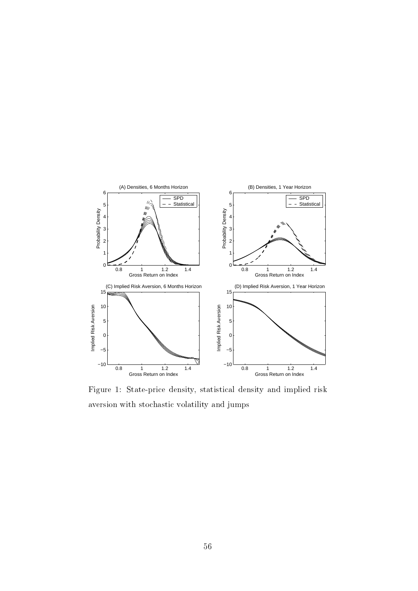

Figure 1: State-price density, statistical density and implied risk aversion with stochastic volatility and jumps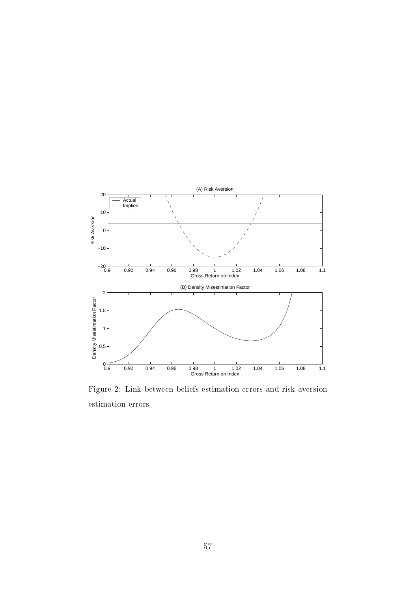

Figure 2: Link between beliefs estimation errors and risk aversion estimation errors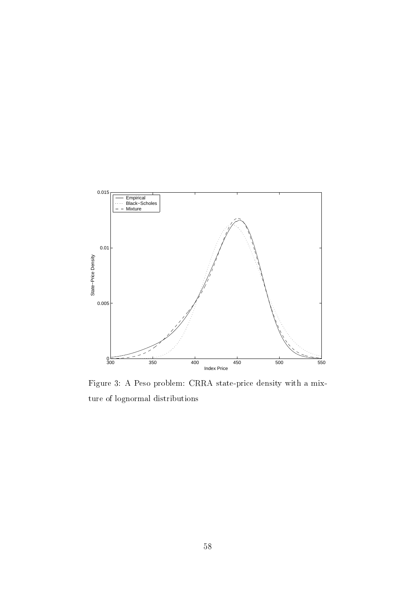

Figure 3: A Peso problem: CRRA state-price density with a mixture of lognormal distributions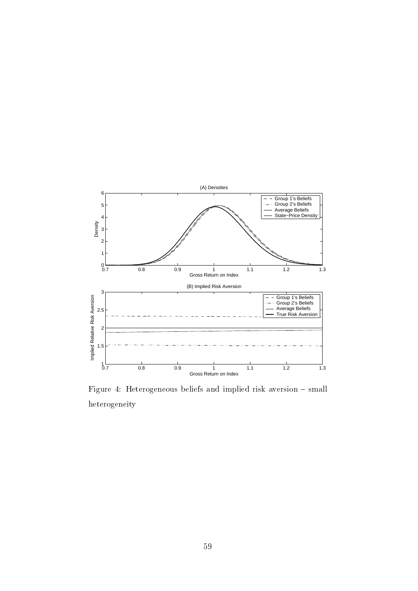

Figure 4: Heterogeneous beliefs and implied risk aversion  $-$  small heterogeneity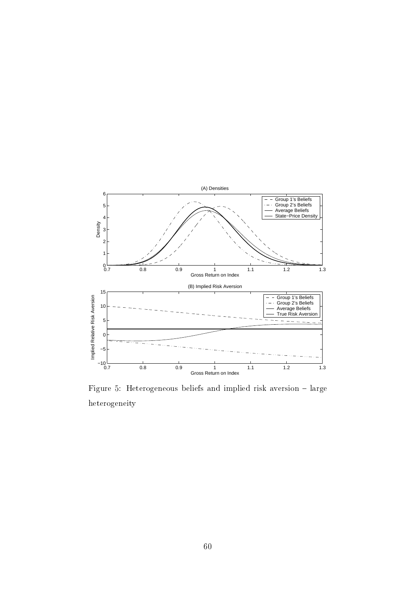

Figure 5: Heterogeneous beliefs and implied risk aversion - large heterogeneity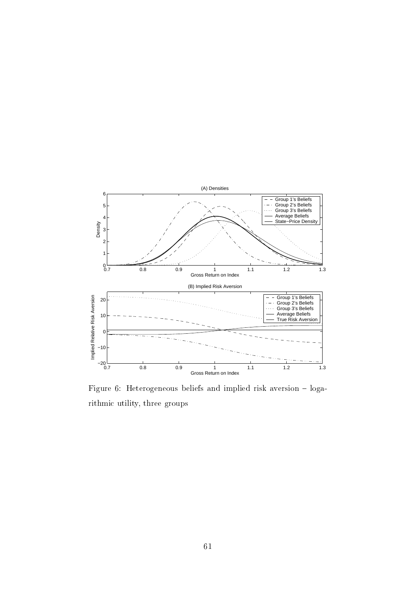

Figure 6: Heterogeneous beliefs and implied risk aversion  $-$  logarithmic utility, three groups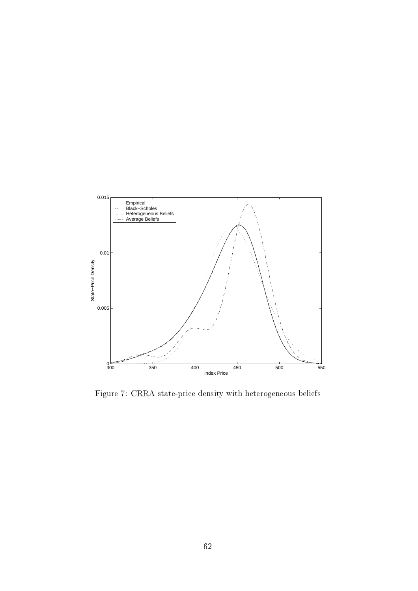

Figure 7: CRRA state-price density with heterogeneous beliefs